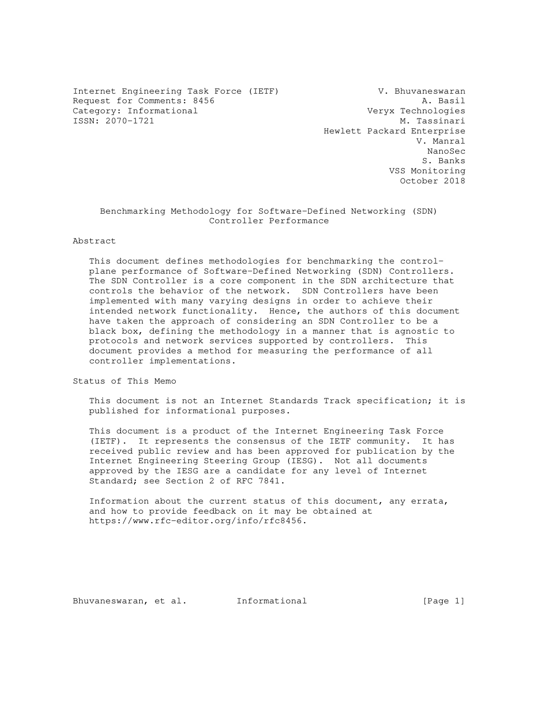Internet Engineering Task Force (IETF) V. Bhuvaneswaran Request for Comments: 8456 A. Basil<br>Category: Informational and Category: Informational Category: Informational Veryx Technologies<br>
ISSN: 2070-1721 M. Tassinari ISSN: 2070-1721

 Hewlett Packard Enterprise V. Manral nano di Romano di Secolului all'Indiana di Secolului all'Indiana di Secolului all'Indiana di Secolului all'Indiana di Secolului all'Indiana di Secolului all'Indiana di Secolului all'Indiana di Secolului all'Indiana di Seco S. Banks VSS Monitoring October 2018

## Benchmarking Methodology for Software-Defined Networking (SDN) Controller Performance

#### Abstract

 This document defines methodologies for benchmarking the control plane performance of Software-Defined Networking (SDN) Controllers. The SDN Controller is a core component in the SDN architecture that controls the behavior of the network. SDN Controllers have been implemented with many varying designs in order to achieve their intended network functionality. Hence, the authors of this document have taken the approach of considering an SDN Controller to be a black box, defining the methodology in a manner that is agnostic to protocols and network services supported by controllers. This document provides a method for measuring the performance of all controller implementations.

Status of This Memo

 This document is not an Internet Standards Track specification; it is published for informational purposes.

 This document is a product of the Internet Engineering Task Force (IETF). It represents the consensus of the IETF community. It has received public review and has been approved for publication by the Internet Engineering Steering Group (IESG). Not all documents approved by the IESG are a candidate for any level of Internet Standard; see Section 2 of RFC 7841.

 Information about the current status of this document, any errata, and how to provide feedback on it may be obtained at https://www.rfc-editor.org/info/rfc8456.

Bhuvaneswaran, et al. Informational [Page 1]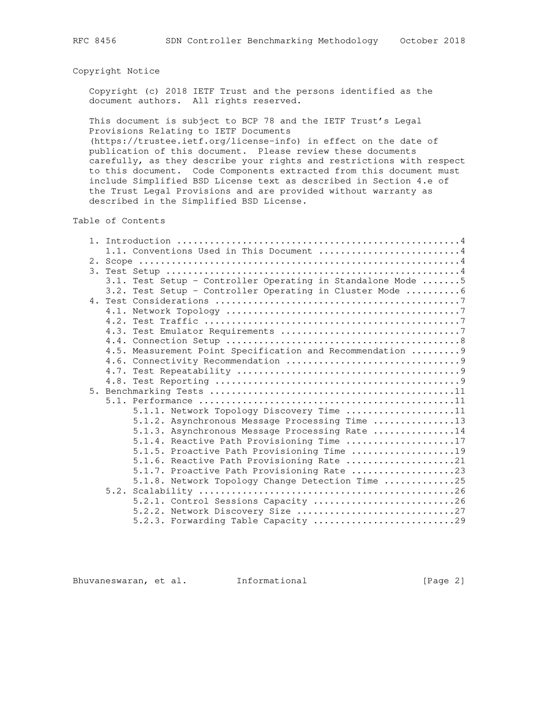## Copyright Notice

 Copyright (c) 2018 IETF Trust and the persons identified as the document authors. All rights reserved.

 This document is subject to BCP 78 and the IETF Trust's Legal Provisions Relating to IETF Documents

 (https://trustee.ietf.org/license-info) in effect on the date of publication of this document. Please review these documents carefully, as they describe your rights and restrictions with respect to this document. Code Components extracted from this document must include Simplified BSD License text as described in Section 4.e of the Trust Legal Provisions and are provided without warranty as described in the Simplified BSD License.

Table of Contents

| 1.1. Conventions Used in This Document 4                     |
|--------------------------------------------------------------|
|                                                              |
|                                                              |
| 3.1. Test Setup - Controller Operating in Standalone Mode  5 |
| 3.2. Test Setup - Controller Operating in Cluster Mode  6    |
|                                                              |
|                                                              |
|                                                              |
|                                                              |
|                                                              |
| 4.5. Measurement Point Specification and Recommendation  9   |
|                                                              |
|                                                              |
|                                                              |
|                                                              |
|                                                              |
| $5.1.1.$ Network Topology Discovery Time 11                  |
| 5.1.2. Asynchronous Message Processing Time 13               |
| 5.1.3. Asynchronous Message Processing Rate 14               |
| 5.1.4. Reactive Path Provisioning Time 17                    |
| 5.1.5. Proactive Path Provisioning Time 19                   |
| 5.1.6. Reactive Path Provisioning Rate 21                    |
| 5.1.7. Proactive Path Provisioning Rate 23                   |
| 5.1.8. Network Topology Change Detection Time 25             |
|                                                              |
| 5.2.1. Control Sessions Capacity 26                          |
| 5.2.2. Network Discovery Size 27                             |
| 5.2.3. Forwarding Table Capacity 29                          |

Bhuvaneswaran, et al. Informational [Page 2]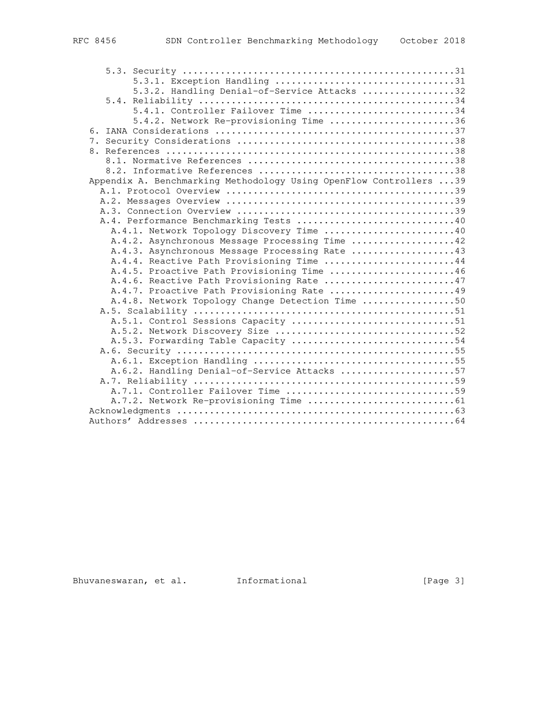| FC 8456 |  |
|---------|--|
|         |  |

| 5.3.2. Handling Denial-of-Service Attacks 32                       |
|--------------------------------------------------------------------|
|                                                                    |
| 5.4.1. Controller Failover Time 34                                 |
| 5.4.2. Network Re-provisioning Time 36                             |
|                                                                    |
|                                                                    |
|                                                                    |
|                                                                    |
|                                                                    |
| Appendix A. Benchmarking Methodology Using OpenFlow Controllers 39 |
|                                                                    |
|                                                                    |
|                                                                    |
| A.4. Performance Benchmarking Tests 40                             |
| A.4.1. Network Topology Discovery Time 40                          |
| A.4.2. Asynchronous Message Processing Time 42                     |
| A.4.3. Asynchronous Message Processing Rate 43                     |
| A.4.4. Reactive Path Provisioning Time 44                          |
| A.4.5. Proactive Path Provisioning Time 46                         |
| A.4.6. Reactive Path Provisioning Rate 47                          |
| A.4.7. Proactive Path Provisioning Rate 49                         |
| A.4.8. Network Topology Change Detection Time 50                   |
|                                                                    |
| A.5.1. Control Sessions Capacity 51                                |
| A.5.3. Forwarding Table Capacity 54                                |
|                                                                    |
|                                                                    |
| A.6.2. Handling Denial-of-Service Attacks 57                       |
|                                                                    |
|                                                                    |
|                                                                    |
|                                                                    |
|                                                                    |
|                                                                    |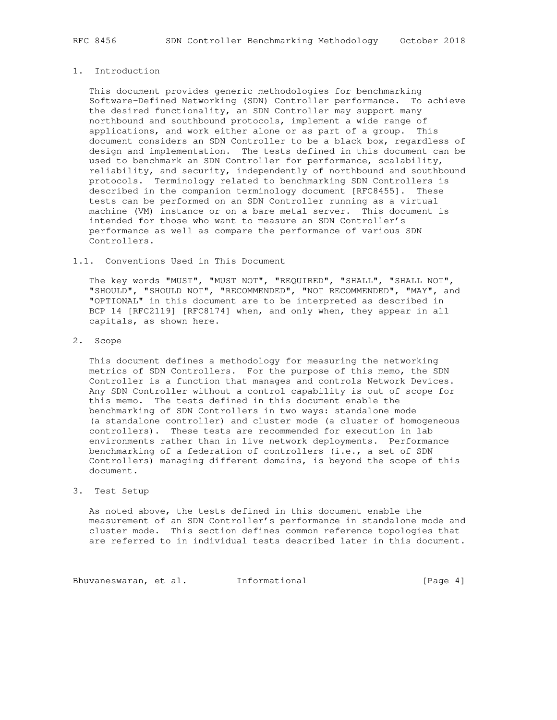## 1. Introduction

 This document provides generic methodologies for benchmarking Software-Defined Networking (SDN) Controller performance. To achieve the desired functionality, an SDN Controller may support many northbound and southbound protocols, implement a wide range of applications, and work either alone or as part of a group. This document considers an SDN Controller to be a black box, regardless of design and implementation. The tests defined in this document can be used to benchmark an SDN Controller for performance, scalability, reliability, and security, independently of northbound and southbound protocols. Terminology related to benchmarking SDN Controllers is described in the companion terminology document [RFC8455]. These tests can be performed on an SDN Controller running as a virtual machine (VM) instance or on a bare metal server. This document is intended for those who want to measure an SDN Controller's performance as well as compare the performance of various SDN Controllers.

## 1.1. Conventions Used in This Document

 The key words "MUST", "MUST NOT", "REQUIRED", "SHALL", "SHALL NOT", "SHOULD", "SHOULD NOT", "RECOMMENDED", "NOT RECOMMENDED", "MAY", and "OPTIONAL" in this document are to be interpreted as described in BCP 14 [RFC2119] [RFC8174] when, and only when, they appear in all capitals, as shown here.

2. Scope

 This document defines a methodology for measuring the networking metrics of SDN Controllers. For the purpose of this memo, the SDN Controller is a function that manages and controls Network Devices. Any SDN Controller without a control capability is out of scope for this memo. The tests defined in this document enable the benchmarking of SDN Controllers in two ways: standalone mode (a standalone controller) and cluster mode (a cluster of homogeneous controllers). These tests are recommended for execution in lab environments rather than in live network deployments. Performance benchmarking of a federation of controllers (i.e., a set of SDN Controllers) managing different domains, is beyond the scope of this document.

#### 3. Test Setup

 As noted above, the tests defined in this document enable the measurement of an SDN Controller's performance in standalone mode and cluster mode. This section defines common reference topologies that are referred to in individual tests described later in this document.

Bhuvaneswaran, et al. Informational (Page 4)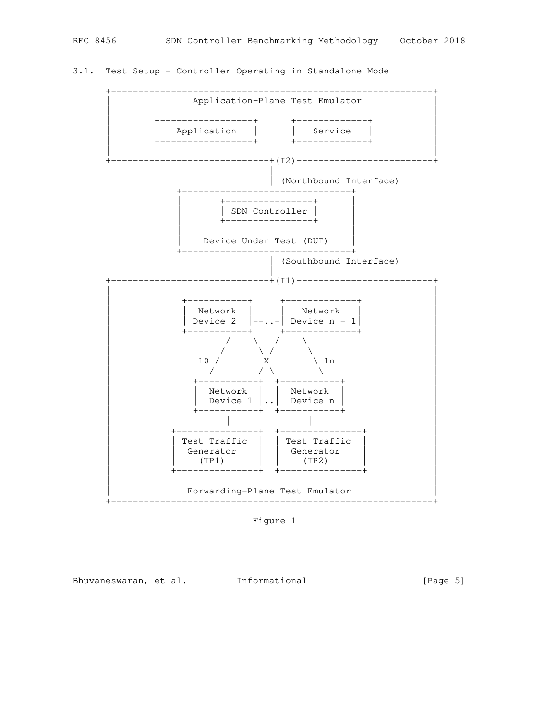# 3.1. Test Setup - Controller Operating in Standalone Mode



Figure 1

Bhuvaneswaran, et al. 1nformational 1999 [Page 5]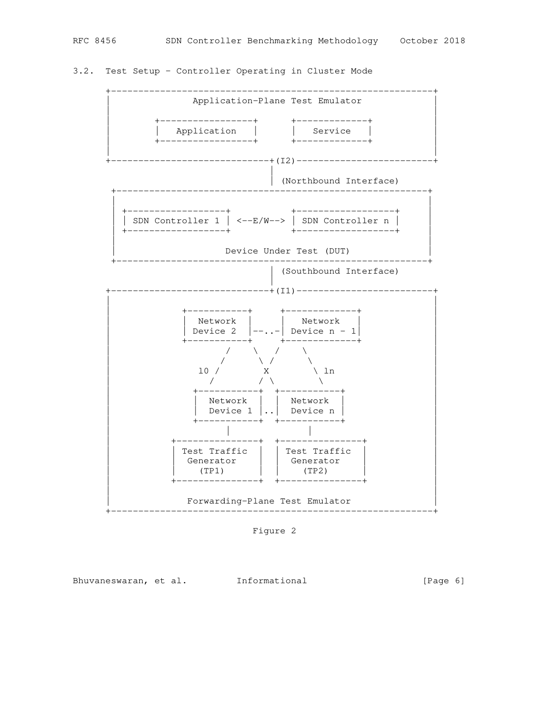# 3.2. Test Setup - Controller Operating in Cluster Mode



Figure 2

Bhuvaneswaran, et al. 1nformational 1999 [Page 6]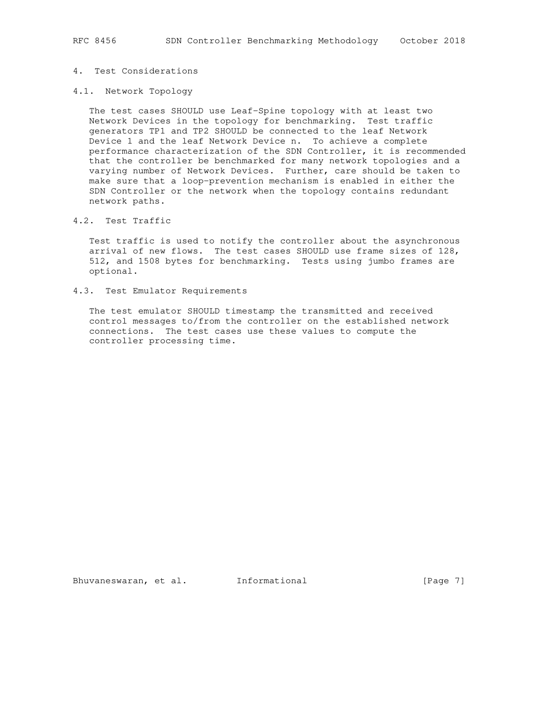## 4. Test Considerations

## 4.1. Network Topology

 The test cases SHOULD use Leaf-Spine topology with at least two Network Devices in the topology for benchmarking. Test traffic generators TP1 and TP2 SHOULD be connected to the leaf Network Device 1 and the leaf Network Device n. To achieve a complete performance characterization of the SDN Controller, it is recommended that the controller be benchmarked for many network topologies and a varying number of Network Devices. Further, care should be taken to make sure that a loop-prevention mechanism is enabled in either the SDN Controller or the network when the topology contains redundant network paths.

## 4.2. Test Traffic

 Test traffic is used to notify the controller about the asynchronous arrival of new flows. The test cases SHOULD use frame sizes of 128, 512, and 1508 bytes for benchmarking. Tests using jumbo frames are optional.

#### 4.3. Test Emulator Requirements

 The test emulator SHOULD timestamp the transmitted and received control messages to/from the controller on the established network connections. The test cases use these values to compute the controller processing time.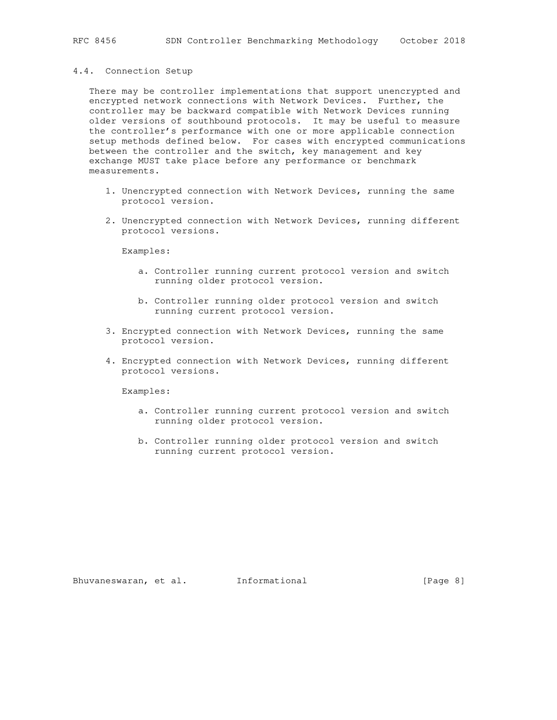#### 4.4. Connection Setup

 There may be controller implementations that support unencrypted and encrypted network connections with Network Devices. Further, the controller may be backward compatible with Network Devices running older versions of southbound protocols. It may be useful to measure the controller's performance with one or more applicable connection setup methods defined below. For cases with encrypted communications between the controller and the switch, key management and key exchange MUST take place before any performance or benchmark measurements.

- 1. Unencrypted connection with Network Devices, running the same protocol version.
- 2. Unencrypted connection with Network Devices, running different protocol versions.

Examples:

- a. Controller running current protocol version and switch running older protocol version.
- b. Controller running older protocol version and switch running current protocol version.
- 3. Encrypted connection with Network Devices, running the same protocol version.
- 4. Encrypted connection with Network Devices, running different protocol versions.

Examples:

- a. Controller running current protocol version and switch running older protocol version.
- b. Controller running older protocol version and switch running current protocol version.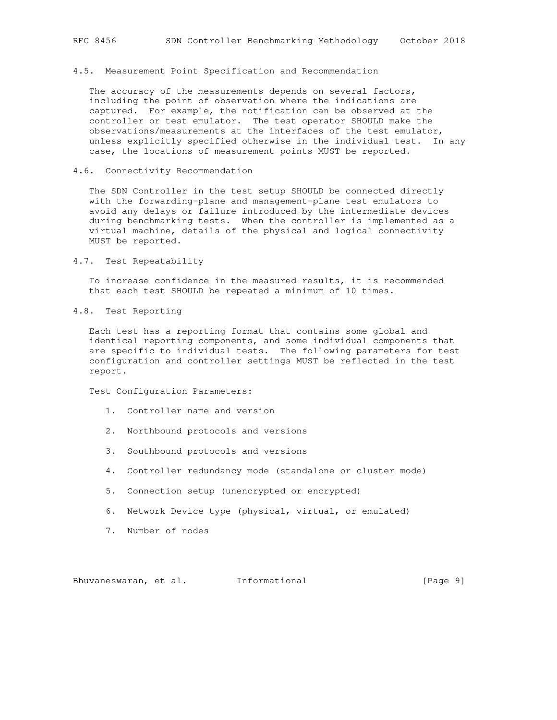## 4.5. Measurement Point Specification and Recommendation

 The accuracy of the measurements depends on several factors, including the point of observation where the indications are captured. For example, the notification can be observed at the controller or test emulator. The test operator SHOULD make the observations/measurements at the interfaces of the test emulator, unless explicitly specified otherwise in the individual test. In any case, the locations of measurement points MUST be reported.

#### 4.6. Connectivity Recommendation

 The SDN Controller in the test setup SHOULD be connected directly with the forwarding-plane and management-plane test emulators to avoid any delays or failure introduced by the intermediate devices during benchmarking tests. When the controller is implemented as a virtual machine, details of the physical and logical connectivity MUST be reported.

4.7. Test Repeatability

 To increase confidence in the measured results, it is recommended that each test SHOULD be repeated a minimum of 10 times.

4.8. Test Reporting

 Each test has a reporting format that contains some global and identical reporting components, and some individual components that are specific to individual tests. The following parameters for test configuration and controller settings MUST be reflected in the test report.

Test Configuration Parameters:

- 1. Controller name and version
- 2. Northbound protocols and versions
- 3. Southbound protocols and versions
- 4. Controller redundancy mode (standalone or cluster mode)
- 5. Connection setup (unencrypted or encrypted)
- 6. Network Device type (physical, virtual, or emulated)
- 7. Number of nodes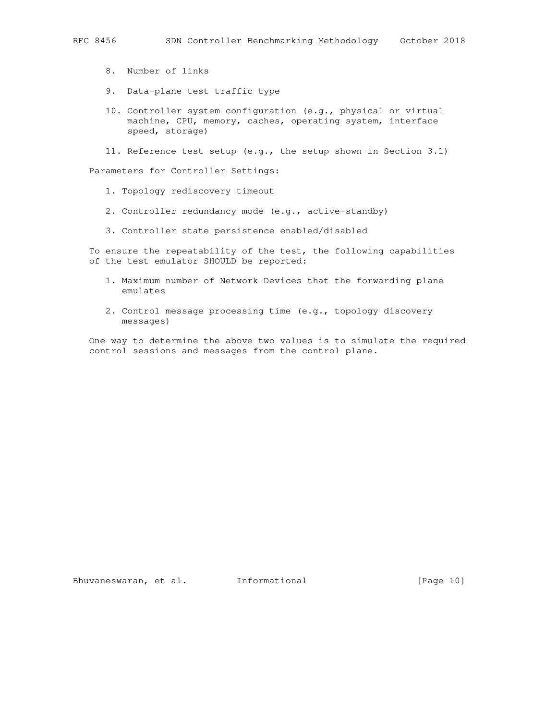- - 8. Number of links
	- 9. Data-plane test traffic type
	- 10. Controller system configuration (e.g., physical or virtual machine, CPU, memory, caches, operating system, interface speed, storage)
	- 11. Reference test setup (e.g., the setup shown in Section 3.1)

Parameters for Controller Settings:

- 1. Topology rediscovery timeout
- 2. Controller redundancy mode (e.g., active-standby)
- 3. Controller state persistence enabled/disabled

 To ensure the repeatability of the test, the following capabilities of the test emulator SHOULD be reported:

- 1. Maximum number of Network Devices that the forwarding plane emulates
- 2. Control message processing time (e.g., topology discovery messages)

 One way to determine the above two values is to simulate the required control sessions and messages from the control plane.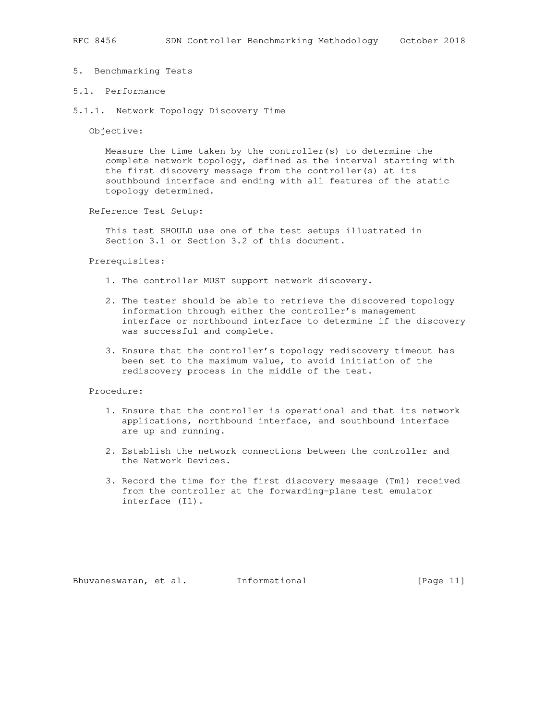#### 5. Benchmarking Tests

## 5.1. Performance

5.1.1. Network Topology Discovery Time

Objective:

 Measure the time taken by the controller(s) to determine the complete network topology, defined as the interval starting with the first discovery message from the controller(s) at its southbound interface and ending with all features of the static topology determined.

Reference Test Setup:

 This test SHOULD use one of the test setups illustrated in Section 3.1 or Section 3.2 of this document.

#### Prerequisites:

- 1. The controller MUST support network discovery.
- 2. The tester should be able to retrieve the discovered topology information through either the controller's management interface or northbound interface to determine if the discovery was successful and complete.
- 3. Ensure that the controller's topology rediscovery timeout has been set to the maximum value, to avoid initiation of the rediscovery process in the middle of the test.

#### Procedure:

- 1. Ensure that the controller is operational and that its network applications, northbound interface, and southbound interface are up and running.
- 2. Establish the network connections between the controller and the Network Devices.
- 3. Record the time for the first discovery message (Tm1) received from the controller at the forwarding-plane test emulator interface (I1).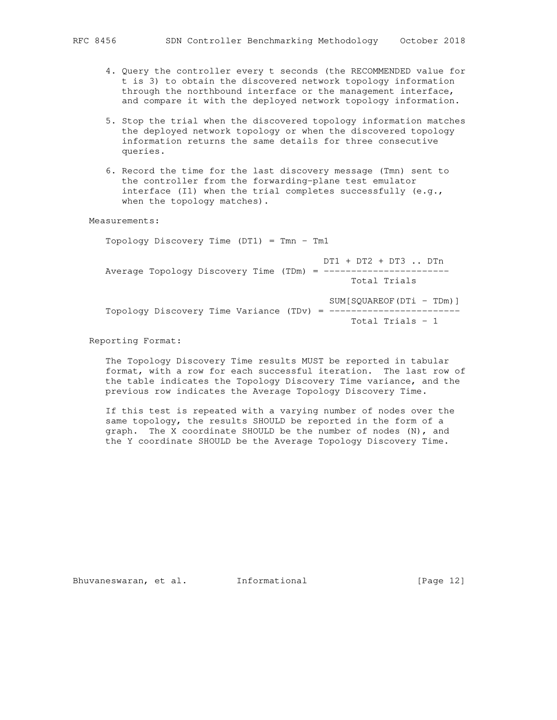- 4. Query the controller every t seconds (the RECOMMENDED value for t is 3) to obtain the discovered network topology information through the northbound interface or the management interface, and compare it with the deployed network topology information.
- 5. Stop the trial when the discovered topology information matches the deployed network topology or when the discovered topology information returns the same details for three consecutive queries.
- 6. Record the time for the last discovery message (Tmn) sent to the controller from the forwarding-plane test emulator interface (I1) when the trial completes successfully (e.g., when the topology matches).

Measurements:

Topology Discovery Time (DT1) = Tmn - Tm1

 DT1 + DT2 + DT3 .. DTn Average Topology Discovery Time (TDm) = ------------------------Total Trials

SUM[SQUAREOF(DTi - TDm)] Topology Discovery Time Variance (TDv) = ------------------------ Total Trials - 1

## Reporting Format:

 The Topology Discovery Time results MUST be reported in tabular format, with a row for each successful iteration. The last row of the table indicates the Topology Discovery Time variance, and the previous row indicates the Average Topology Discovery Time.

 If this test is repeated with a varying number of nodes over the same topology, the results SHOULD be reported in the form of a graph. The X coordinate SHOULD be the number of nodes (N), and the Y coordinate SHOULD be the Average Topology Discovery Time.

Bhuvaneswaran, et al. 1nformational 1999 [Page 12]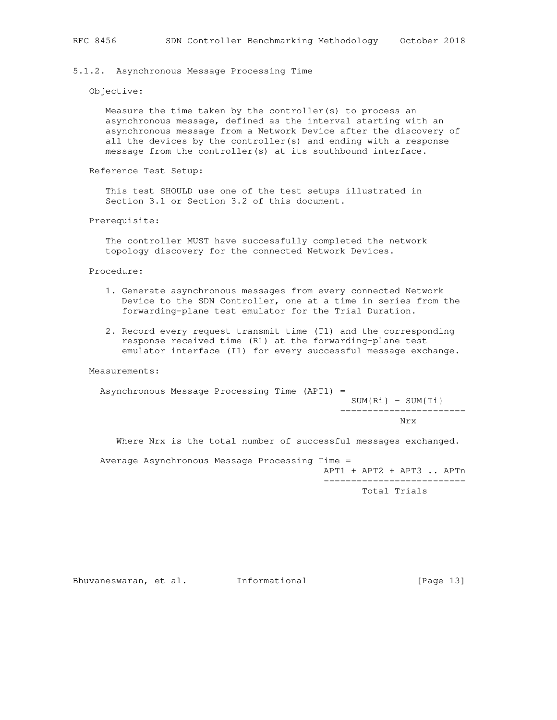#### 5.1.2. Asynchronous Message Processing Time

#### Objective:

 Measure the time taken by the controller(s) to process an asynchronous message, defined as the interval starting with an asynchronous message from a Network Device after the discovery of all the devices by the controller(s) and ending with a response message from the controller(s) at its southbound interface.

Reference Test Setup:

 This test SHOULD use one of the test setups illustrated in Section 3.1 or Section 3.2 of this document.

Prerequisite:

 The controller MUST have successfully completed the network topology discovery for the connected Network Devices.

#### Procedure:

- 1. Generate asynchronous messages from every connected Network Device to the SDN Controller, one at a time in series from the forwarding-plane test emulator for the Trial Duration.
- 2. Record every request transmit time (T1) and the corresponding response received time (R1) at the forwarding-plane test emulator interface (I1) for every successful message exchange.

#### Measurements:

Asynchronous Message Processing Time (APT1) =

 $SUM{Ri}$  -  $SUM{Ti}$ -----------------------

Nrx 3. Nrx

Where Nrx is the total number of successful messages exchanged.

Average Asynchronous Message Processing Time =

 APT1 + APT2 + APT3 .. APTn --------------------------

Total Trials

Bhuvaneswaran, et al. 1nformational 1999 [Page 13]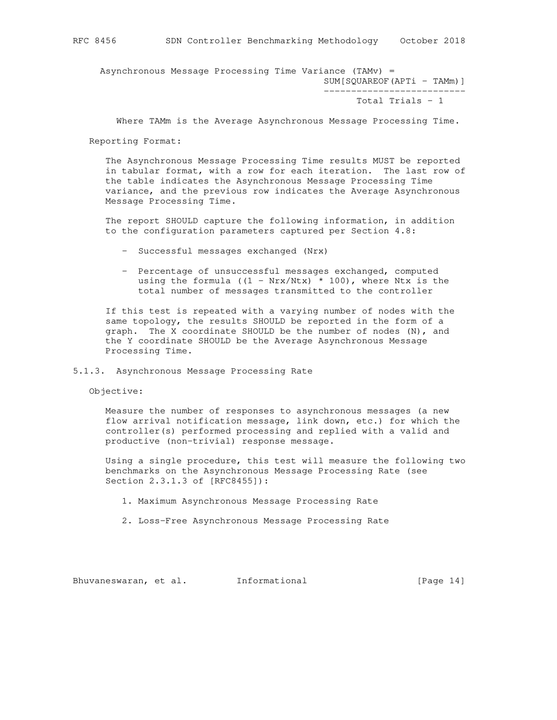Asynchronous Message Processing Time Variance (TAMv) = SUM[SQUAREOF(APTi - TAMm)]

Total Trials - 1

--------------------------

Where TAMm is the Average Asynchronous Message Processing Time.

Reporting Format:

 The Asynchronous Message Processing Time results MUST be reported in tabular format, with a row for each iteration. The last row of the table indicates the Asynchronous Message Processing Time variance, and the previous row indicates the Average Asynchronous Message Processing Time.

 The report SHOULD capture the following information, in addition to the configuration parameters captured per Section 4.8:

- Successful messages exchanged (Nrx)
- Percentage of unsuccessful messages exchanged, computed using the formula ((1 - Nrx/Ntx)  $*$  100), where Ntx is the total number of messages transmitted to the controller

 If this test is repeated with a varying number of nodes with the same topology, the results SHOULD be reported in the form of a graph. The X coordinate SHOULD be the number of nodes (N), and the Y coordinate SHOULD be the Average Asynchronous Message Processing Time.

5.1.3. Asynchronous Message Processing Rate

Objective:

 Measure the number of responses to asynchronous messages (a new flow arrival notification message, link down, etc.) for which the controller(s) performed processing and replied with a valid and productive (non-trivial) response message.

 Using a single procedure, this test will measure the following two benchmarks on the Asynchronous Message Processing Rate (see Section 2.3.1.3 of [RFC8455]):

- 1. Maximum Asynchronous Message Processing Rate
- 2. Loss-Free Asynchronous Message Processing Rate

Bhuvaneswaran, et al. 1nformational 1999 [Page 14]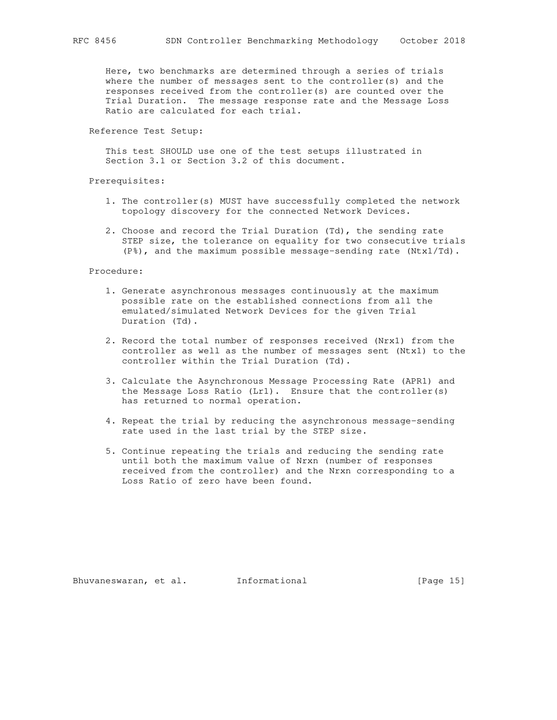Here, two benchmarks are determined through a series of trials where the number of messages sent to the controller(s) and the responses received from the controller(s) are counted over the Trial Duration. The message response rate and the Message Loss Ratio are calculated for each trial.

Reference Test Setup:

 This test SHOULD use one of the test setups illustrated in Section 3.1 or Section 3.2 of this document.

Prerequisites:

- 1. The controller(s) MUST have successfully completed the network topology discovery for the connected Network Devices.
- 2. Choose and record the Trial Duration (Td), the sending rate STEP size, the tolerance on equality for two consecutive trials (P%), and the maximum possible message-sending rate (Ntx1/Td).

Procedure:

- 1. Generate asynchronous messages continuously at the maximum possible rate on the established connections from all the emulated/simulated Network Devices for the given Trial Duration (Td).
- 2. Record the total number of responses received (Nrx1) from the controller as well as the number of messages sent (Ntx1) to the controller within the Trial Duration (Td).
- 3. Calculate the Asynchronous Message Processing Rate (APR1) and the Message Loss Ratio (Lr1). Ensure that the controller(s) has returned to normal operation.
- 4. Repeat the trial by reducing the asynchronous message-sending rate used in the last trial by the STEP size.
- 5. Continue repeating the trials and reducing the sending rate until both the maximum value of Nrxn (number of responses received from the controller) and the Nrxn corresponding to a Loss Ratio of zero have been found.

Bhuvaneswaran, et al. 1nformational 1999 [Page 15]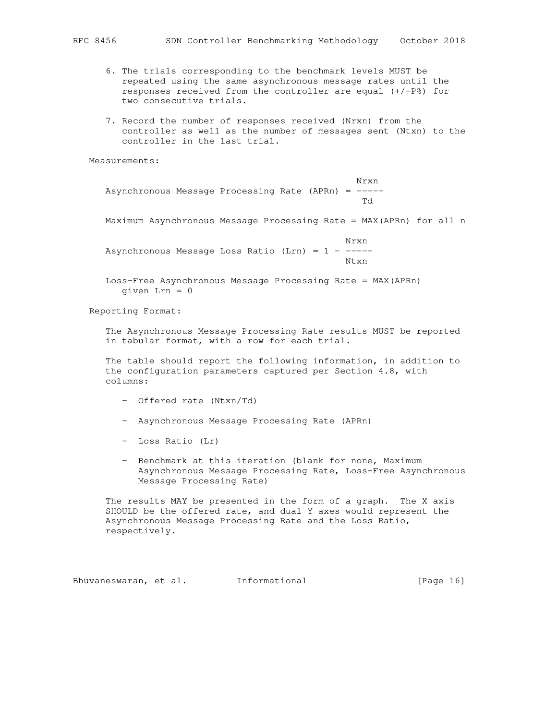- 6. The trials corresponding to the benchmark levels MUST be repeated using the same asynchronous message rates until the responses received from the controller are equal (+/-P%) for two consecutive trials.
- 7. Record the number of responses received (Nrxn) from the controller as well as the number of messages sent (Ntxn) to the controller in the last trial.

Measurements:

 Nrxn Asynchronous Message Processing Rate (APRn) =  $---$ Td

Maximum Asynchronous Message Processing Rate = MAX(APRn) for all n

 Nrxn Asynchronous Message Loss Ratio (Lrn) =  $1 -$ ----Ntxn

> Loss-Free Asynchronous Message Processing Rate = MAX(APRn) given Lrn = 0

Reporting Format:

 The Asynchronous Message Processing Rate results MUST be reported in tabular format, with a row for each trial.

 The table should report the following information, in addition to the configuration parameters captured per Section 4.8, with columns:

- Offered rate (Ntxn/Td)
- Asynchronous Message Processing Rate (APRn)
- Loss Ratio (Lr)
- Benchmark at this iteration (blank for none, Maximum Asynchronous Message Processing Rate, Loss-Free Asynchronous Message Processing Rate)

 The results MAY be presented in the form of a graph. The X axis SHOULD be the offered rate, and dual Y axes would represent the Asynchronous Message Processing Rate and the Loss Ratio, respectively.

Bhuvaneswaran, et al. 1nformational 1999 [Page 16]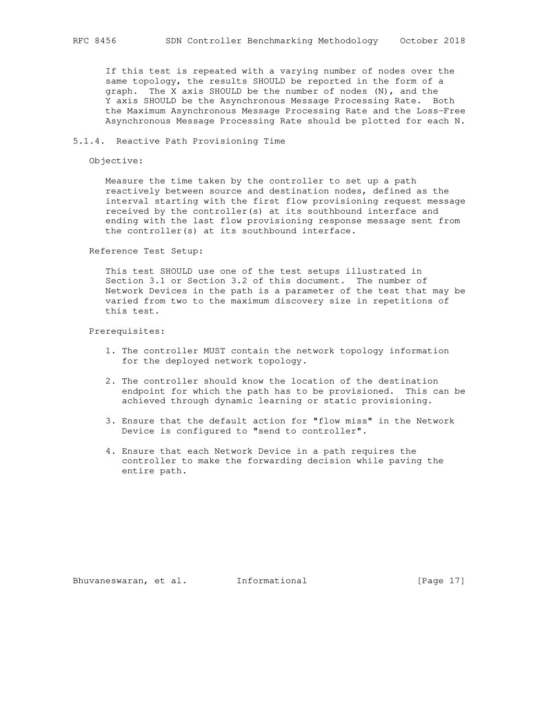If this test is repeated with a varying number of nodes over the same topology, the results SHOULD be reported in the form of a graph. The X axis SHOULD be the number of nodes (N), and the Y axis SHOULD be the Asynchronous Message Processing Rate. Both the Maximum Asynchronous Message Processing Rate and the Loss-Free Asynchronous Message Processing Rate should be plotted for each N.

#### 5.1.4. Reactive Path Provisioning Time

Objective:

 Measure the time taken by the controller to set up a path reactively between source and destination nodes, defined as the interval starting with the first flow provisioning request message received by the controller(s) at its southbound interface and ending with the last flow provisioning response message sent from the controller(s) at its southbound interface.

Reference Test Setup:

 This test SHOULD use one of the test setups illustrated in Section 3.1 or Section 3.2 of this document. The number of Network Devices in the path is a parameter of the test that may be varied from two to the maximum discovery size in repetitions of this test.

Prerequisites:

- 1. The controller MUST contain the network topology information for the deployed network topology.
- 2. The controller should know the location of the destination endpoint for which the path has to be provisioned. This can be achieved through dynamic learning or static provisioning.
- 3. Ensure that the default action for "flow miss" in the Network Device is configured to "send to controller".
- 4. Ensure that each Network Device in a path requires the controller to make the forwarding decision while paving the entire path.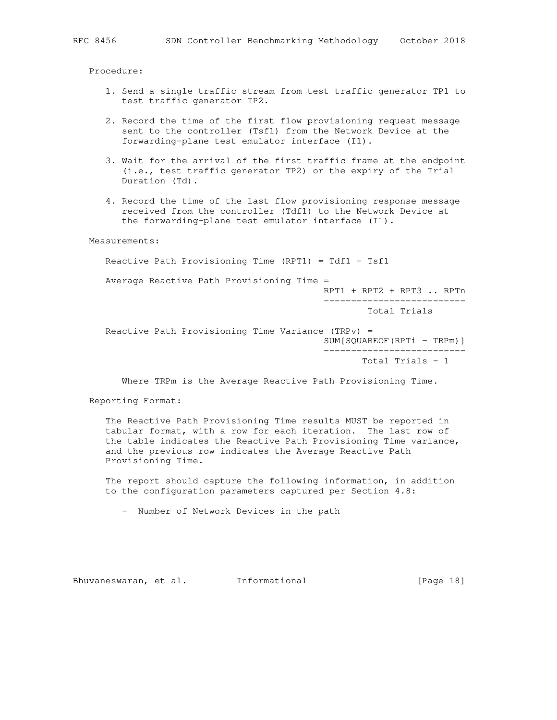Procedure:

- 1. Send a single traffic stream from test traffic generator TP1 to test traffic generator TP2.
- 2. Record the time of the first flow provisioning request message sent to the controller (Tsf1) from the Network Device at the forwarding-plane test emulator interface (I1).
- 3. Wait for the arrival of the first traffic frame at the endpoint (i.e., test traffic generator TP2) or the expiry of the Trial Duration (Td).
- 4. Record the time of the last flow provisioning response message received from the controller (Tdf1) to the Network Device at the forwarding-plane test emulator interface (I1).

Measurements:

Reactive Path Provisioning Time (RPT1) = Tdf1 - Tsf1

Average Reactive Path Provisioning Time =

RPT1 + RPT2 + RPT3 .. RPTn

 -------------------------- Total Trials

 Reactive Path Provisioning Time Variance (TRPv) = SUM[SQUAREOF(RPTi - TRPm)] --------------------------

Total Trials - 1

Where TRPm is the Average Reactive Path Provisioning Time.

Reporting Format:

 The Reactive Path Provisioning Time results MUST be reported in tabular format, with a row for each iteration. The last row of the table indicates the Reactive Path Provisioning Time variance, and the previous row indicates the Average Reactive Path Provisioning Time.

 The report should capture the following information, in addition to the configuration parameters captured per Section 4.8:

- Number of Network Devices in the path

Bhuvaneswaran, et al. 1nformational 1999 [Page 18]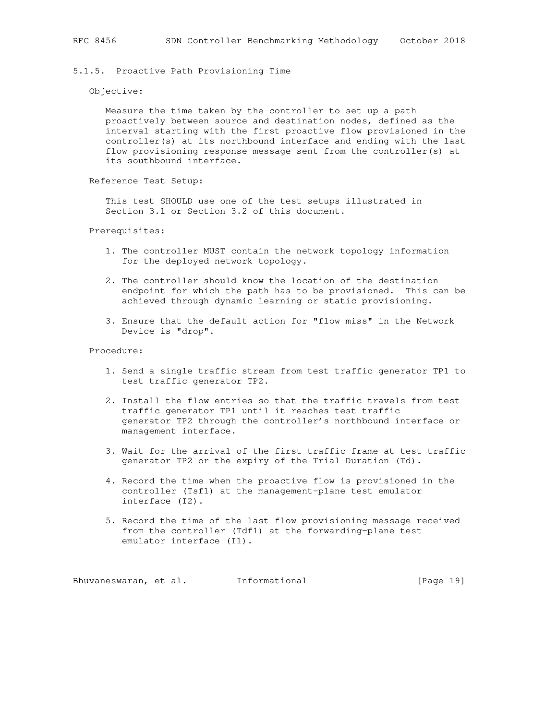## 5.1.5. Proactive Path Provisioning Time

Objective:

 Measure the time taken by the controller to set up a path proactively between source and destination nodes, defined as the interval starting with the first proactive flow provisioned in the controller(s) at its northbound interface and ending with the last flow provisioning response message sent from the controller(s) at its southbound interface.

Reference Test Setup:

 This test SHOULD use one of the test setups illustrated in Section 3.1 or Section 3.2 of this document.

Prerequisites:

- 1. The controller MUST contain the network topology information for the deployed network topology.
- 2. The controller should know the location of the destination endpoint for which the path has to be provisioned. This can be achieved through dynamic learning or static provisioning.
- 3. Ensure that the default action for "flow miss" in the Network Device is "drop".

Procedure:

- 1. Send a single traffic stream from test traffic generator TP1 to test traffic generator TP2.
- 2. Install the flow entries so that the traffic travels from test traffic generator TP1 until it reaches test traffic generator TP2 through the controller's northbound interface or management interface.
- 3. Wait for the arrival of the first traffic frame at test traffic generator TP2 or the expiry of the Trial Duration (Td).
- 4. Record the time when the proactive flow is provisioned in the controller (Tsf1) at the management-plane test emulator interface (I2).
- 5. Record the time of the last flow provisioning message received from the controller (Tdf1) at the forwarding-plane test emulator interface (I1).

Bhuvaneswaran, et al. 1nformational 1917 [Page 19]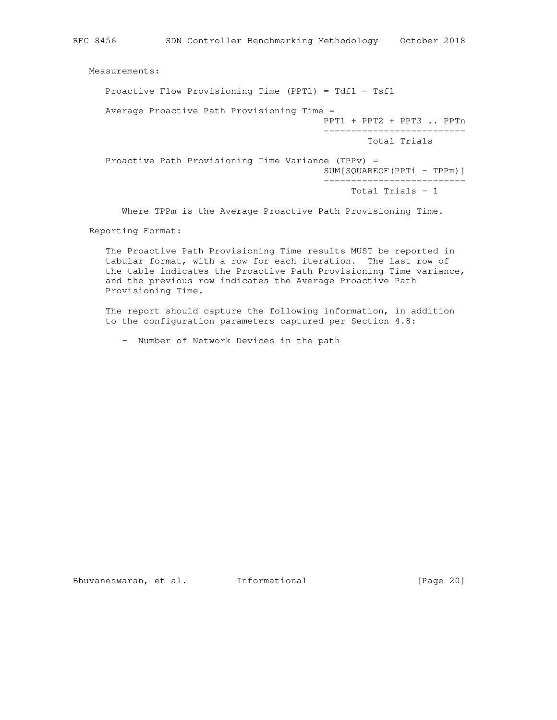Measurements:

Proactive Flow Provisioning Time (PPT1) = Tdf1 - Tsf1

Average Proactive Path Provisioning Time =

 PPT1 + PPT2 + PPT3 .. PPTn --------------------------

Total Trials

 Proactive Path Provisioning Time Variance (TPPv) = SUM[SQUAREOF(PPTi - TPPm)] --------------------------

Total Trials - 1

Where TPPm is the Average Proactive Path Provisioning Time.

Reporting Format:

 The Proactive Path Provisioning Time results MUST be reported in tabular format, with a row for each iteration. The last row of the table indicates the Proactive Path Provisioning Time variance, and the previous row indicates the Average Proactive Path Provisioning Time.

 The report should capture the following information, in addition to the configuration parameters captured per Section 4.8:

- Number of Network Devices in the path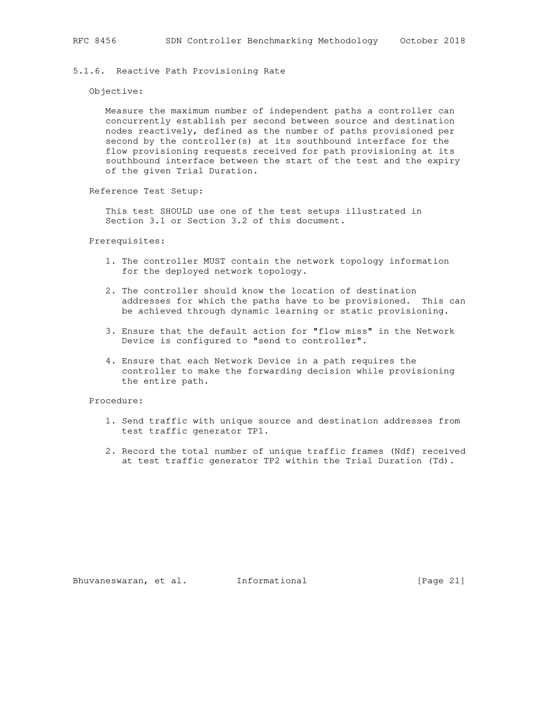## 5.1.6. Reactive Path Provisioning Rate

#### Objective:

 Measure the maximum number of independent paths a controller can concurrently establish per second between source and destination nodes reactively, defined as the number of paths provisioned per second by the controller(s) at its southbound interface for the flow provisioning requests received for path provisioning at its southbound interface between the start of the test and the expiry of the given Trial Duration.

Reference Test Setup:

 This test SHOULD use one of the test setups illustrated in Section 3.1 or Section 3.2 of this document.

#### Prerequisites:

- 1. The controller MUST contain the network topology information for the deployed network topology.
- 2. The controller should know the location of destination addresses for which the paths have to be provisioned. This can be achieved through dynamic learning or static provisioning.
- 3. Ensure that the default action for "flow miss" in the Network Device is configured to "send to controller".
- 4. Ensure that each Network Device in a path requires the controller to make the forwarding decision while provisioning the entire path.

Procedure:

- 1. Send traffic with unique source and destination addresses from test traffic generator TP1.
- 2. Record the total number of unique traffic frames (Ndf) received at test traffic generator TP2 within the Trial Duration (Td).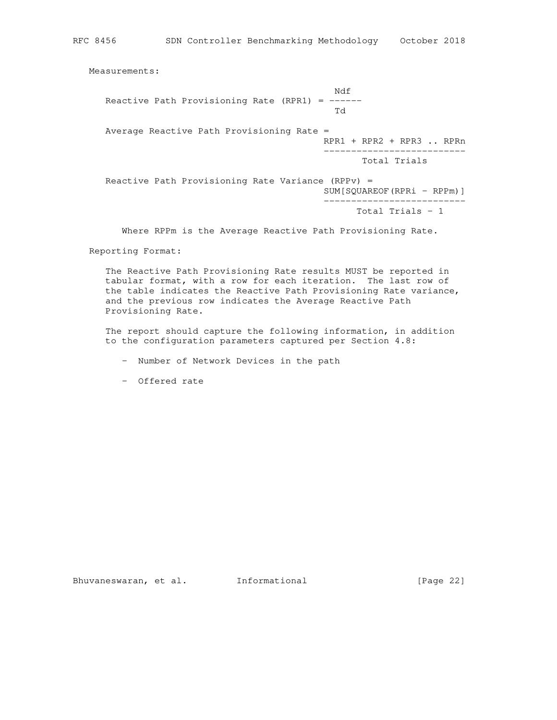Measurements:

 Ndf Reactive Path Provisioning Rate (RPR1) = ------ Td Average Reactive Path Provisioning Rate = RPR1 + RPR2 + RPR3 .. RPRn -------------------------- Total Trials Reactive Path Provisioning Rate Variance (RPPv) = SUM[SQUAREOF(RPRi - RPPm)] -------------------------- Total Trials - 1

Where RPPm is the Average Reactive Path Provisioning Rate.

Reporting Format:

 The Reactive Path Provisioning Rate results MUST be reported in tabular format, with a row for each iteration. The last row of the table indicates the Reactive Path Provisioning Rate variance, and the previous row indicates the Average Reactive Path Provisioning Rate.

 The report should capture the following information, in addition to the configuration parameters captured per Section 4.8:

- Number of Network Devices in the path
- Offered rate

Bhuvaneswaran, et al. Informational [Page 22]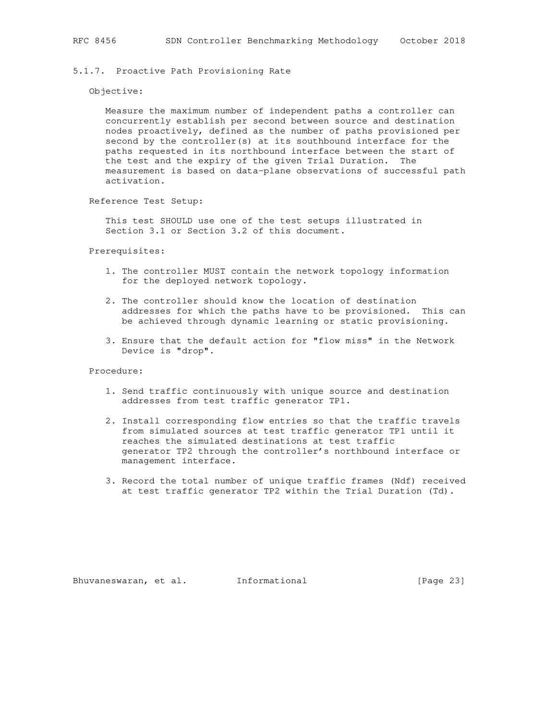5.1.7. Proactive Path Provisioning Rate

#### Objective:

 Measure the maximum number of independent paths a controller can concurrently establish per second between source and destination nodes proactively, defined as the number of paths provisioned per second by the controller(s) at its southbound interface for the paths requested in its northbound interface between the start of the test and the expiry of the given Trial Duration. The measurement is based on data-plane observations of successful path activation.

Reference Test Setup:

 This test SHOULD use one of the test setups illustrated in Section 3.1 or Section 3.2 of this document.

Prerequisites:

- 1. The controller MUST contain the network topology information for the deployed network topology.
- 2. The controller should know the location of destination addresses for which the paths have to be provisioned. This can be achieved through dynamic learning or static provisioning.
- 3. Ensure that the default action for "flow miss" in the Network Device is "drop".

Procedure:

- 1. Send traffic continuously with unique source and destination addresses from test traffic generator TP1.
- 2. Install corresponding flow entries so that the traffic travels from simulated sources at test traffic generator TP1 until it reaches the simulated destinations at test traffic generator TP2 through the controller's northbound interface or management interface.
- 3. Record the total number of unique traffic frames (Ndf) received at test traffic generator TP2 within the Trial Duration (Td).

Bhuvaneswaran, et al. Informational [Page 23]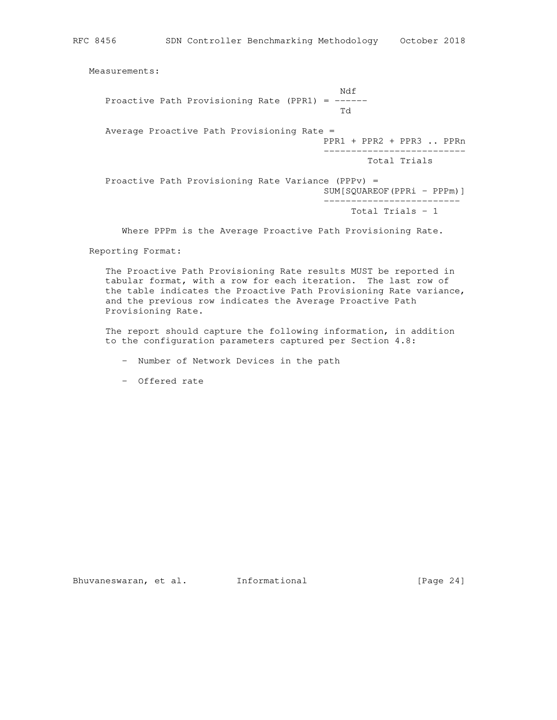RFC 8456 SDN Controller Benchmarking Methodology October 2018

Measurements:

 Ndf Proactive Path Provisioning Rate (PPR1) =  $---$  Td Average Proactive Path Provisioning Rate = PPR1 + PPR2 + PPR3 .. PPRn -------------------------- Total Trials Proactive Path Provisioning Rate Variance (PPPv) = SUM[SQUAREOF(PPRi - PPPm)] ------------------------- Total Trials - 1

Where PPPm is the Average Proactive Path Provisioning Rate.

Reporting Format:

 The Proactive Path Provisioning Rate results MUST be reported in tabular format, with a row for each iteration. The last row of the table indicates the Proactive Path Provisioning Rate variance, and the previous row indicates the Average Proactive Path Provisioning Rate.

 The report should capture the following information, in addition to the configuration parameters captured per Section 4.8:

- Number of Network Devices in the path
- Offered rate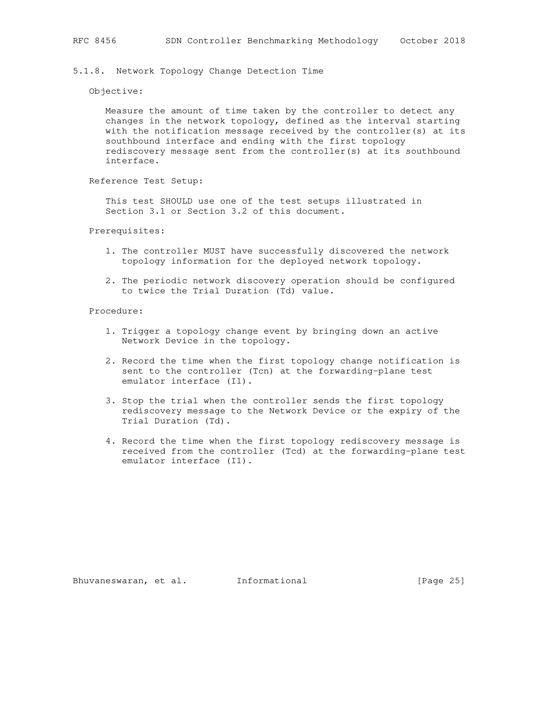Objective:

 Measure the amount of time taken by the controller to detect any changes in the network topology, defined as the interval starting with the notification message received by the controller(s) at its southbound interface and ending with the first topology rediscovery message sent from the controller(s) at its southbound interface.

Reference Test Setup:

 This test SHOULD use one of the test setups illustrated in Section 3.1 or Section 3.2 of this document.

Prerequisites:

- 1. The controller MUST have successfully discovered the network topology information for the deployed network topology.
- 2. The periodic network discovery operation should be configured to twice the Trial Duration (Td) value.

Procedure:

- 1. Trigger a topology change event by bringing down an active Network Device in the topology.
- 2. Record the time when the first topology change notification is sent to the controller (Tcn) at the forwarding-plane test emulator interface (I1).
- 3. Stop the trial when the controller sends the first topology rediscovery message to the Network Device or the expiry of the Trial Duration (Td).
- 4. Record the time when the first topology rediscovery message is received from the controller (Tcd) at the forwarding-plane test emulator interface (I1).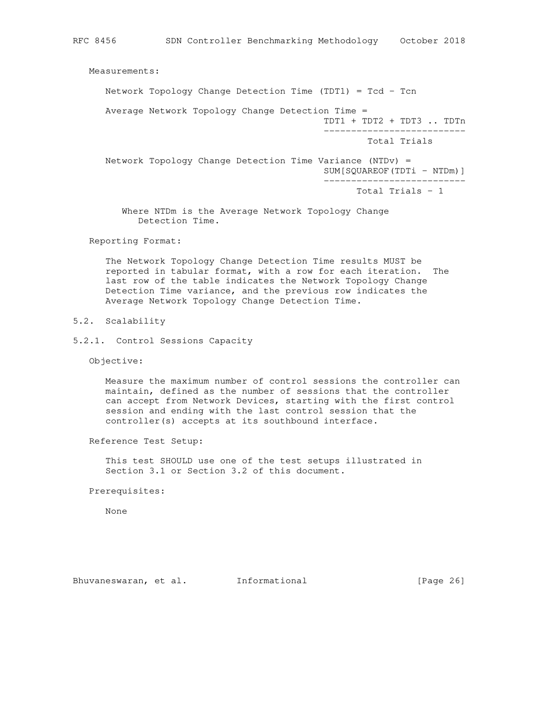Measurements:

Network Topology Change Detection Time (TDT1) = Tcd - Tcn

Average Network Topology Change Detection Time =

 TDT1 + TDT2 + TDT3 .. TDTn --------------------------

Total Trials

 Network Topology Change Detection Time Variance (NTDv) = SUM[SQUAREOF(TDTi - NTDm)] --------------------------

Total Trials - 1

 Where NTDm is the Average Network Topology Change Detection Time.

Reporting Format:

 The Network Topology Change Detection Time results MUST be reported in tabular format, with a row for each iteration. The last row of the table indicates the Network Topology Change Detection Time variance, and the previous row indicates the Average Network Topology Change Detection Time.

- 5.2. Scalability
- 5.2.1. Control Sessions Capacity

Objective:

 Measure the maximum number of control sessions the controller can maintain, defined as the number of sessions that the controller can accept from Network Devices, starting with the first control session and ending with the last control session that the controller(s) accepts at its southbound interface.

Reference Test Setup:

 This test SHOULD use one of the test setups illustrated in Section 3.1 or Section 3.2 of this document.

Prerequisites:

None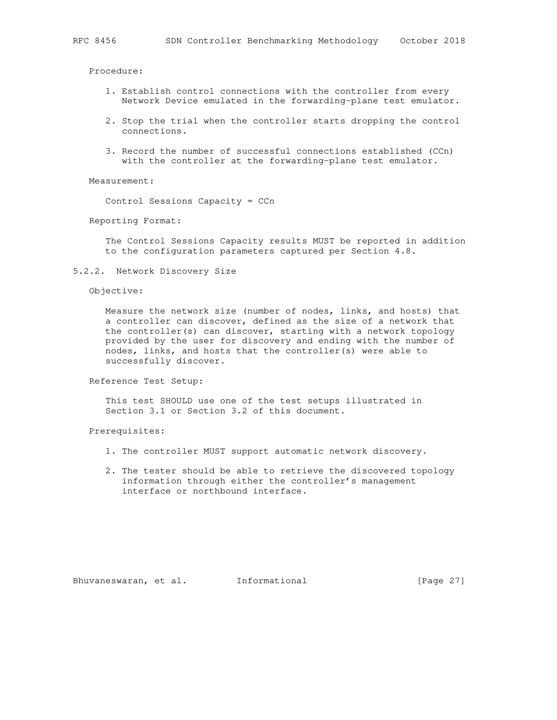Procedure:

- 1. Establish control connections with the controller from every Network Device emulated in the forwarding-plane test emulator.
- 2. Stop the trial when the controller starts dropping the control connections.
- 3. Record the number of successful connections established (CCn) with the controller at the forwarding-plane test emulator.

Measurement:

Control Sessions Capacity = CCn

Reporting Format:

 The Control Sessions Capacity results MUST be reported in addition to the configuration parameters captured per Section 4.8.

5.2.2. Network Discovery Size

#### Objective:

 Measure the network size (number of nodes, links, and hosts) that a controller can discover, defined as the size of a network that the controller(s) can discover, starting with a network topology provided by the user for discovery and ending with the number of nodes, links, and hosts that the controller(s) were able to successfully discover.

Reference Test Setup:

 This test SHOULD use one of the test setups illustrated in Section 3.1 or Section 3.2 of this document.

Prerequisites:

- 1. The controller MUST support automatic network discovery.
- 2. The tester should be able to retrieve the discovered topology information through either the controller's management interface or northbound interface.

Bhuvaneswaran, et al. Informational [Page 27]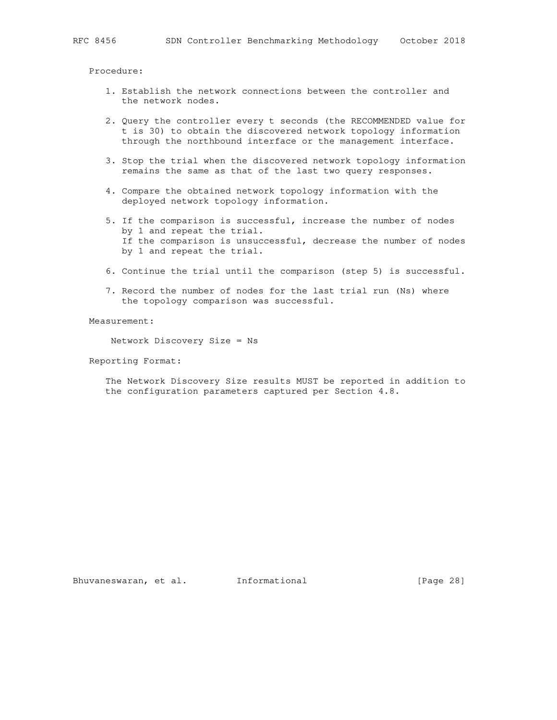Procedure:

- 1. Establish the network connections between the controller and the network nodes.
- 2. Query the controller every t seconds (the RECOMMENDED value for t is 30) to obtain the discovered network topology information through the northbound interface or the management interface.
- 3. Stop the trial when the discovered network topology information remains the same as that of the last two query responses.
- 4. Compare the obtained network topology information with the deployed network topology information.
- 5. If the comparison is successful, increase the number of nodes by 1 and repeat the trial. If the comparison is unsuccessful, decrease the number of nodes by 1 and repeat the trial.
- 6. Continue the trial until the comparison (step 5) is successful.
- 7. Record the number of nodes for the last trial run (Ns) where the topology comparison was successful.

Measurement:

Network Discovery Size = Ns

Reporting Format:

 The Network Discovery Size results MUST be reported in addition to the configuration parameters captured per Section 4.8.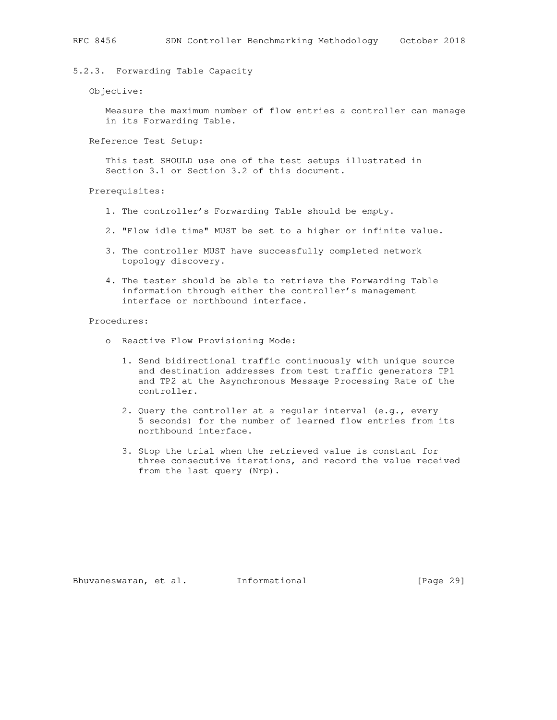## 5.2.3. Forwarding Table Capacity

#### Objective:

 Measure the maximum number of flow entries a controller can manage in its Forwarding Table.

Reference Test Setup:

 This test SHOULD use one of the test setups illustrated in Section 3.1 or Section 3.2 of this document.

Prerequisites:

- 1. The controller's Forwarding Table should be empty.
- 2. "Flow idle time" MUST be set to a higher or infinite value.
- 3. The controller MUST have successfully completed network topology discovery.
- 4. The tester should be able to retrieve the Forwarding Table information through either the controller's management interface or northbound interface.

Procedures:

- o Reactive Flow Provisioning Mode:
	- 1. Send bidirectional traffic continuously with unique source and destination addresses from test traffic generators TP1 and TP2 at the Asynchronous Message Processing Rate of the controller.
	- 2. Query the controller at a regular interval (e.g., every 5 seconds) for the number of learned flow entries from its northbound interface.
	- 3. Stop the trial when the retrieved value is constant for three consecutive iterations, and record the value received from the last query (Nrp).

Bhuvaneswaran, et al. Informational [Page 29]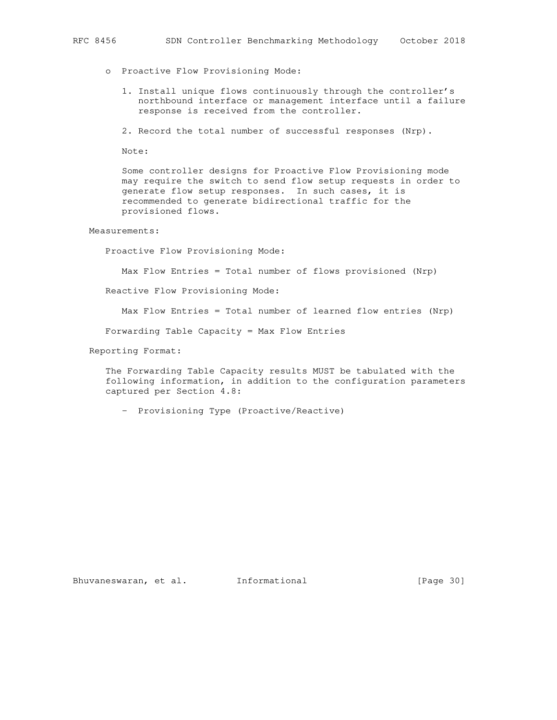- o Proactive Flow Provisioning Mode:
	- 1. Install unique flows continuously through the controller's northbound interface or management interface until a failure response is received from the controller.
	- 2. Record the total number of successful responses (Nrp).

Note:

 Some controller designs for Proactive Flow Provisioning mode may require the switch to send flow setup requests in order to generate flow setup responses. In such cases, it is recommended to generate bidirectional traffic for the provisioned flows.

#### Measurements:

Proactive Flow Provisioning Mode:

Max Flow Entries = Total number of flows provisioned (Nrp)

Reactive Flow Provisioning Mode:

Max Flow Entries = Total number of learned flow entries (Nrp)

Forwarding Table Capacity = Max Flow Entries

Reporting Format:

 The Forwarding Table Capacity results MUST be tabulated with the following information, in addition to the configuration parameters captured per Section 4.8:

- Provisioning Type (Proactive/Reactive)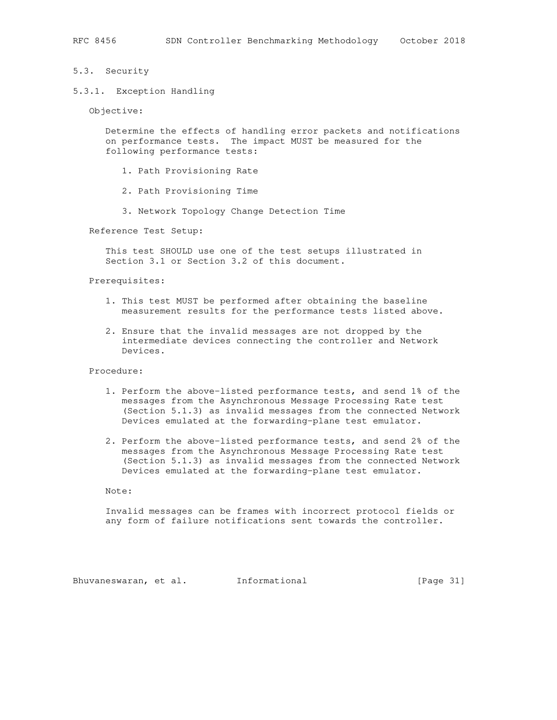#### 5.3. Security

5.3.1. Exception Handling

Objective:

 Determine the effects of handling error packets and notifications on performance tests. The impact MUST be measured for the following performance tests:

- 1. Path Provisioning Rate
- 2. Path Provisioning Time
- 3. Network Topology Change Detection Time

Reference Test Setup:

 This test SHOULD use one of the test setups illustrated in Section 3.1 or Section 3.2 of this document.

Prerequisites:

- 1. This test MUST be performed after obtaining the baseline measurement results for the performance tests listed above.
- 2. Ensure that the invalid messages are not dropped by the intermediate devices connecting the controller and Network Devices.

Procedure:

- 1. Perform the above-listed performance tests, and send 1% of the messages from the Asynchronous Message Processing Rate test (Section 5.1.3) as invalid messages from the connected Network Devices emulated at the forwarding-plane test emulator.
- 2. Perform the above-listed performance tests, and send 2% of the messages from the Asynchronous Message Processing Rate test (Section 5.1.3) as invalid messages from the connected Network Devices emulated at the forwarding-plane test emulator.

Note:

 Invalid messages can be frames with incorrect protocol fields or any form of failure notifications sent towards the controller.

Bhuvaneswaran, et al. Informational [Page 31]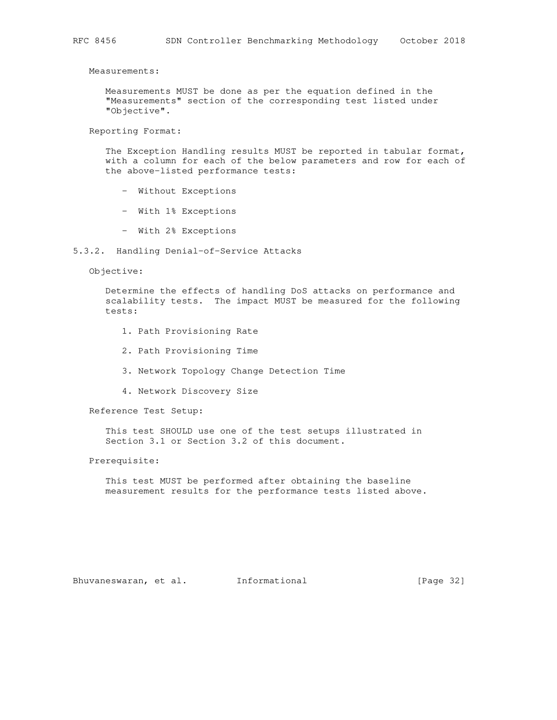Measurements:

 Measurements MUST be done as per the equation defined in the "Measurements" section of the corresponding test listed under "Objective".

Reporting Format:

 The Exception Handling results MUST be reported in tabular format, with a column for each of the below parameters and row for each of the above-listed performance tests:

- Without Exceptions
- With 1% Exceptions
- With 2% Exceptions
- 5.3.2. Handling Denial-of-Service Attacks

Objective:

 Determine the effects of handling DoS attacks on performance and scalability tests. The impact MUST be measured for the following tests:

- 1. Path Provisioning Rate
- 2. Path Provisioning Time
- 3. Network Topology Change Detection Time
- 4. Network Discovery Size

Reference Test Setup:

 This test SHOULD use one of the test setups illustrated in Section 3.1 or Section 3.2 of this document.

Prerequisite:

 This test MUST be performed after obtaining the baseline measurement results for the performance tests listed above.

Bhuvaneswaran, et al. Informational [Page 32]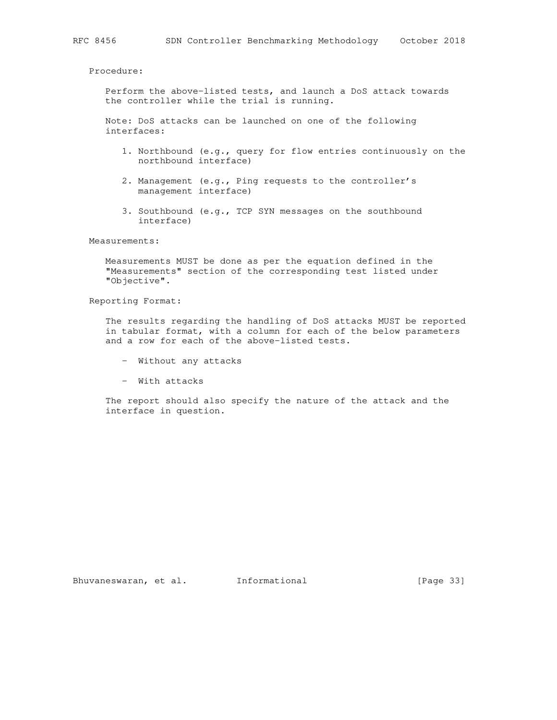Procedure:

 Perform the above-listed tests, and launch a DoS attack towards the controller while the trial is running.

 Note: DoS attacks can be launched on one of the following interfaces:

- 1. Northbound (e.g., query for flow entries continuously on the northbound interface)
- 2. Management (e.g., Ping requests to the controller's management interface)
- 3. Southbound (e.g., TCP SYN messages on the southbound interface)

Measurements:

 Measurements MUST be done as per the equation defined in the "Measurements" section of the corresponding test listed under "Objective".

Reporting Format:

 The results regarding the handling of DoS attacks MUST be reported in tabular format, with a column for each of the below parameters and a row for each of the above-listed tests.

- Without any attacks
- With attacks

 The report should also specify the nature of the attack and the interface in question.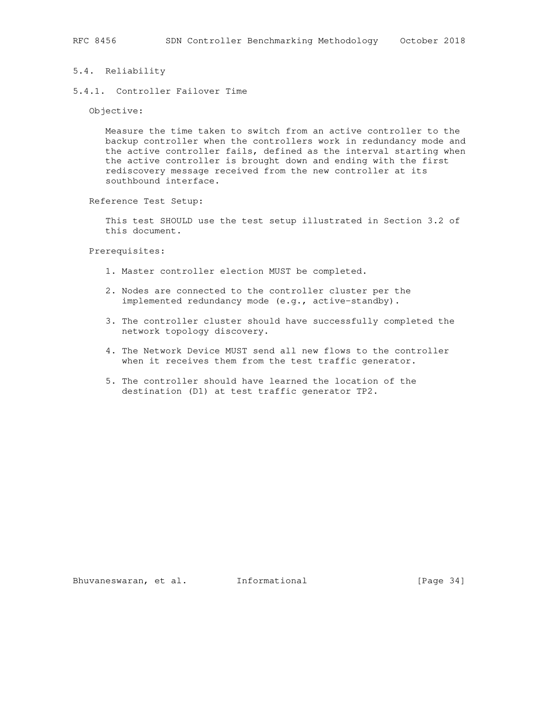## 5.4. Reliability

5.4.1. Controller Failover Time

Objective:

 Measure the time taken to switch from an active controller to the backup controller when the controllers work in redundancy mode and the active controller fails, defined as the interval starting when the active controller is brought down and ending with the first rediscovery message received from the new controller at its southbound interface.

Reference Test Setup:

 This test SHOULD use the test setup illustrated in Section 3.2 of this document.

Prerequisites:

- 1. Master controller election MUST be completed.
- 2. Nodes are connected to the controller cluster per the implemented redundancy mode (e.g., active-standby).
- 3. The controller cluster should have successfully completed the network topology discovery.
- 4. The Network Device MUST send all new flows to the controller when it receives them from the test traffic generator.
- 5. The controller should have learned the location of the destination (D1) at test traffic generator TP2.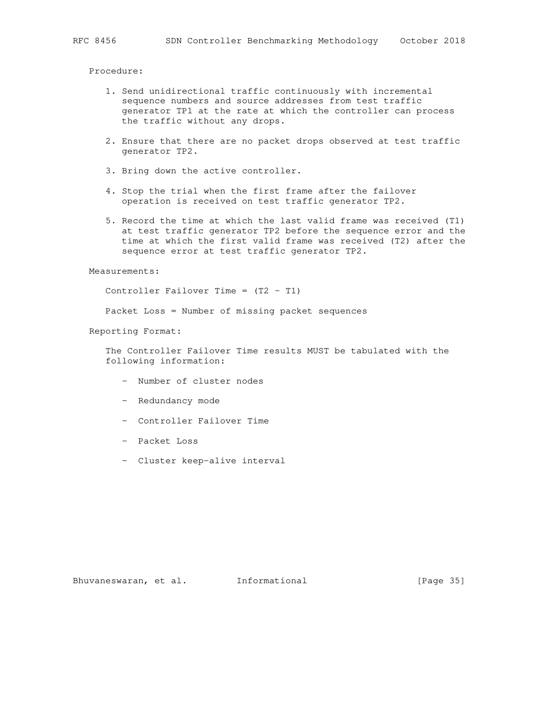Procedure:

- 1. Send unidirectional traffic continuously with incremental sequence numbers and source addresses from test traffic generator TP1 at the rate at which the controller can process the traffic without any drops.
- 2. Ensure that there are no packet drops observed at test traffic generator TP2.
- 3. Bring down the active controller.
- 4. Stop the trial when the first frame after the failover operation is received on test traffic generator TP2.
- 5. Record the time at which the last valid frame was received (T1) at test traffic generator TP2 before the sequence error and the time at which the first valid frame was received (T2) after the sequence error at test traffic generator TP2.

Measurements:

Controller Failover Time =  $(T2 - T1)$ 

Packet Loss = Number of missing packet sequences

Reporting Format:

 The Controller Failover Time results MUST be tabulated with the following information:

- Number of cluster nodes
- Redundancy mode
- Controller Failover Time
- Packet Loss
- Cluster keep-alive interval

Bhuvaneswaran, et al. 1nformational 1999 [Page 35]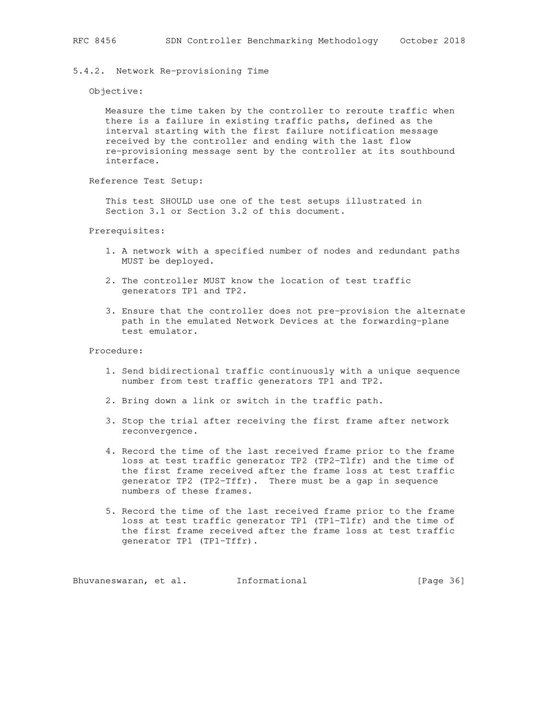## 5.4.2. Network Re-provisioning Time

Objective:

 Measure the time taken by the controller to reroute traffic when there is a failure in existing traffic paths, defined as the interval starting with the first failure notification message received by the controller and ending with the last flow re-provisioning message sent by the controller at its southbound interface.

Reference Test Setup:

 This test SHOULD use one of the test setups illustrated in Section 3.1 or Section 3.2 of this document.

Prerequisites:

- 1. A network with a specified number of nodes and redundant paths MUST be deployed.
- 2. The controller MUST know the location of test traffic generators TP1 and TP2.
- 3. Ensure that the controller does not pre-provision the alternate path in the emulated Network Devices at the forwarding-plane test emulator.

Procedure:

- 1. Send bidirectional traffic continuously with a unique sequence number from test traffic generators TP1 and TP2.
- 2. Bring down a link or switch in the traffic path.
- 3. Stop the trial after receiving the first frame after network reconvergence.
- 4. Record the time of the last received frame prior to the frame loss at test traffic generator TP2 (TP2-Tlfr) and the time of the first frame received after the frame loss at test traffic generator TP2 (TP2-Tffr). There must be a gap in sequence numbers of these frames.
- 5. Record the time of the last received frame prior to the frame loss at test traffic generator TP1 (TP1-Tlfr) and the time of the first frame received after the frame loss at test traffic generator TP1 (TP1-Tffr).

Bhuvaneswaran, et al. 1nformational 1999 [Page 36]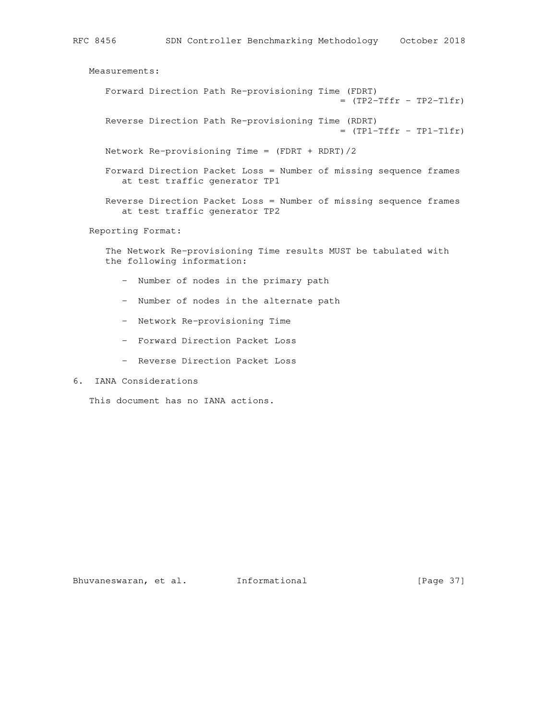Measurements: Forward Direction Path Re-provisioning Time (FDRT)  $=$  (TP2-Tffr - TP2-Tlfr) Reverse Direction Path Re-provisioning Time (RDRT)  $=$  (TP1-Tffr - TP1-Tlfr) Network Re-provisioning Time =  $(FDRT + RDRT)/2$  Forward Direction Packet Loss = Number of missing sequence frames at test traffic generator TP1 Reverse Direction Packet Loss = Number of missing sequence frames at test traffic generator TP2 Reporting Format: The Network Re-provisioning Time results MUST be tabulated with the following information:

- Number of nodes in the primary path
- Number of nodes in the alternate path
- Network Re-provisioning Time
- Forward Direction Packet Loss
- Reverse Direction Packet Loss
- 6. IANA Considerations

This document has no IANA actions.

Bhuvaneswaran, et al. Informational [Page 37]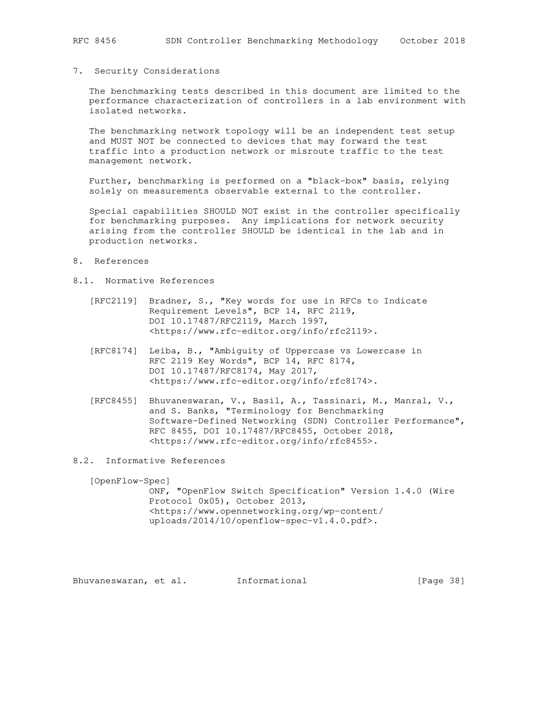#### 7. Security Considerations

 The benchmarking tests described in this document are limited to the performance characterization of controllers in a lab environment with isolated networks.

 The benchmarking network topology will be an independent test setup and MUST NOT be connected to devices that may forward the test traffic into a production network or misroute traffic to the test management network.

 Further, benchmarking is performed on a "black-box" basis, relying solely on measurements observable external to the controller.

 Special capabilities SHOULD NOT exist in the controller specifically for benchmarking purposes. Any implications for network security arising from the controller SHOULD be identical in the lab and in production networks.

- 8. References
- 8.1. Normative References
	- [RFC2119] Bradner, S., "Key words for use in RFCs to Indicate Requirement Levels", BCP 14, RFC 2119, DOI 10.17487/RFC2119, March 1997, <https://www.rfc-editor.org/info/rfc2119>.
	- [RFC8174] Leiba, B., "Ambiguity of Uppercase vs Lowercase in RFC 2119 Key Words", BCP 14, RFC 8174, DOI 10.17487/RFC8174, May 2017, <https://www.rfc-editor.org/info/rfc8174>.
	- [RFC8455] Bhuvaneswaran, V., Basil, A., Tassinari, M., Manral, V., and S. Banks, "Terminology for Benchmarking Software-Defined Networking (SDN) Controller Performance", RFC 8455, DOI 10.17487/RFC8455, October 2018, <https://www.rfc-editor.org/info/rfc8455>.
- 8.2. Informative References

 [OpenFlow-Spec] ONF, "OpenFlow Switch Specification" Version 1.4.0 (Wire Protocol 0x05), October 2013, <https://www.opennetworking.org/wp-content/ uploads/2014/10/openflow-spec-v1.4.0.pdf>.

Bhuvaneswaran, et al. Informational [Page 38]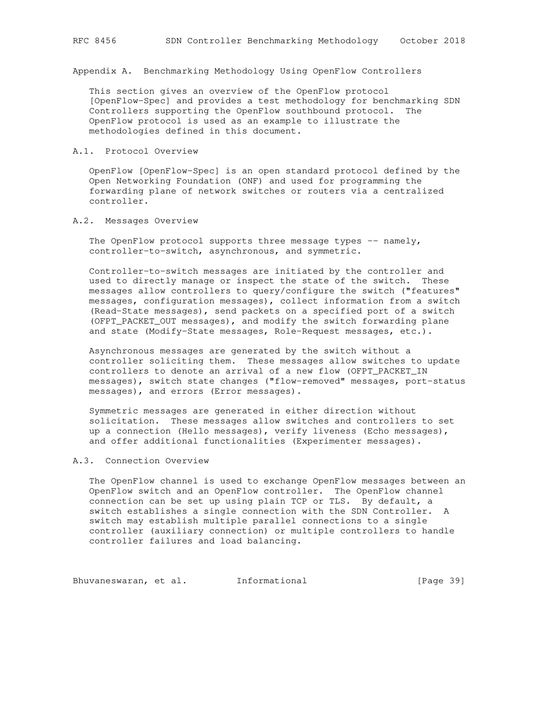Appendix A. Benchmarking Methodology Using OpenFlow Controllers

 This section gives an overview of the OpenFlow protocol [OpenFlow-Spec] and provides a test methodology for benchmarking SDN Controllers supporting the OpenFlow southbound protocol. The OpenFlow protocol is used as an example to illustrate the methodologies defined in this document.

## A.1. Protocol Overview

 OpenFlow [OpenFlow-Spec] is an open standard protocol defined by the Open Networking Foundation (ONF) and used for programming the forwarding plane of network switches or routers via a centralized controller.

#### A.2. Messages Overview

The OpenFlow protocol supports three message types  $-$ - namely, controller-to-switch, asynchronous, and symmetric.

 Controller-to-switch messages are initiated by the controller and used to directly manage or inspect the state of the switch. These messages allow controllers to query/configure the switch ("features" messages, configuration messages), collect information from a switch (Read-State messages), send packets on a specified port of a switch (OFPT\_PACKET\_OUT messages), and modify the switch forwarding plane and state (Modify-State messages, Role-Request messages, etc.).

 Asynchronous messages are generated by the switch without a controller soliciting them. These messages allow switches to update controllers to denote an arrival of a new flow (OFPT\_PACKET\_IN messages), switch state changes ("flow-removed" messages, port-status messages), and errors (Error messages).

 Symmetric messages are generated in either direction without solicitation. These messages allow switches and controllers to set up a connection (Hello messages), verify liveness (Echo messages), and offer additional functionalities (Experimenter messages).

#### A.3. Connection Overview

 The OpenFlow channel is used to exchange OpenFlow messages between an OpenFlow switch and an OpenFlow controller. The OpenFlow channel connection can be set up using plain TCP or TLS. By default, a switch establishes a single connection with the SDN Controller. A switch may establish multiple parallel connections to a single controller (auxiliary connection) or multiple controllers to handle controller failures and load balancing.

Bhuvaneswaran, et al. 1nformational 1999 [Page 39]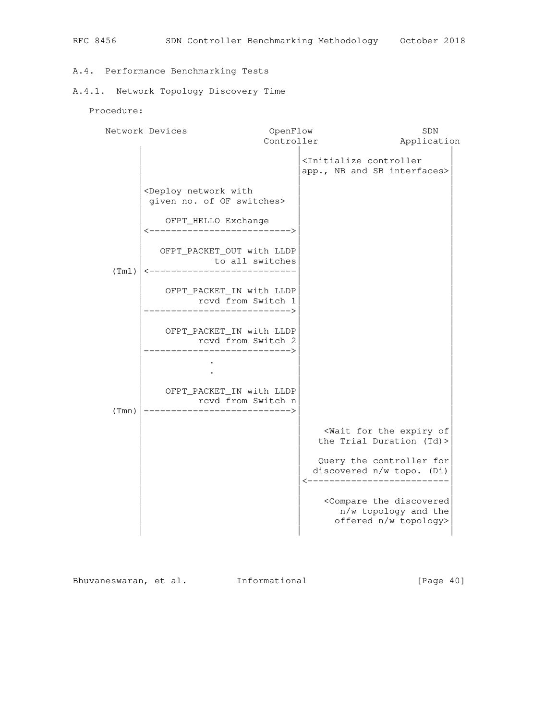# A.4. Performance Benchmarking Tests

# A.4.1. Network Topology Discovery Time

Procedure:

|       | Network Devices                                                                  | OpenFlow   |                                                                                              | SDN         |
|-------|----------------------------------------------------------------------------------|------------|----------------------------------------------------------------------------------------------|-------------|
|       |                                                                                  | Controller |                                                                                              | Application |
|       |                                                                                  |            | <initialize controller<br="">app., NB and SB interfaces&gt;</initialize>                     |             |
|       | <deploy network="" with<br="">given no. of OF switches&gt;</deploy>              |            |                                                                                              |             |
|       | OFPT_HELLO Exchange<br>_________________________                                 |            |                                                                                              |             |
| (Tm1) | OFPT_PACKET_OUT with LLDP<br>to all switches<br><----------------------------    |            |                                                                                              |             |
|       | OFPT_PACKET_IN with LLDP<br>rcvd from Switch 1<br>-------------------->          |            |                                                                                              |             |
|       | OFPT_PACKET_IN with LLDP<br>rcvd from Switch 2<br>----------------------->       |            |                                                                                              |             |
|       |                                                                                  |            |                                                                                              |             |
| (Tmn) | OFPT_PACKET_IN with LLDP<br>rcvd from Switch n<br>-----------------------------> |            |                                                                                              |             |
|       |                                                                                  |            | <wait expiry="" for="" of<br="" the="">the Trial Duration (Td)&gt;</wait>                    |             |
|       |                                                                                  |            | Query the controller for<br>discovered n/w topo. (Di)<br>___________________                 |             |
|       |                                                                                  |            | <compare discovered<br="" the="">n/w topology and the<br/>offered n/w topology&gt;</compare> |             |

Bhuvaneswaran, et al. Informational [Page 40]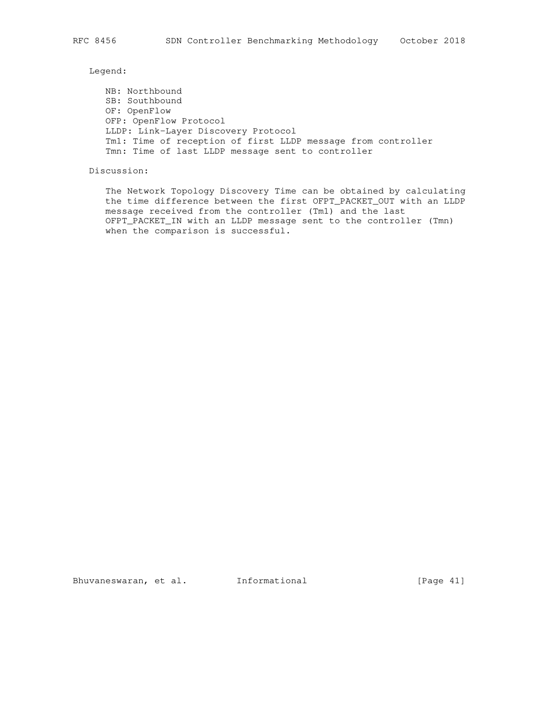Legend:

 NB: Northbound SB: Southbound OF: OpenFlow OFP: OpenFlow Protocol LLDP: Link-Layer Discovery Protocol Tm1: Time of reception of first LLDP message from controller Tmn: Time of last LLDP message sent to controller

Discussion:

 The Network Topology Discovery Time can be obtained by calculating the time difference between the first OFPT\_PACKET\_OUT with an LLDP message received from the controller (Tm1) and the last OFPT\_PACKET\_IN with an LLDP message sent to the controller (Tmn) when the comparison is successful.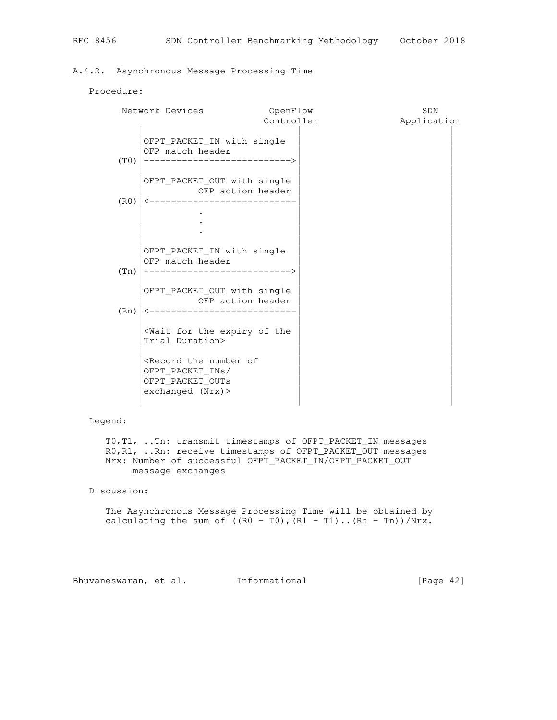## A.4.2. Asynchronous Message Processing Time

#### Procedure:

|      | Network Devices                                                                                                        | OpenFlow<br>Controller | SDN<br>Application |
|------|------------------------------------------------------------------------------------------------------------------------|------------------------|--------------------|
| (T0) | OFPT_PACKET_IN with single<br>OFP match header                                                                         |                        |                    |
| (R0) | OFPT_PACKET_OUT with single<br>OFP action header<br>----------------------                                             |                        |                    |
|      |                                                                                                                        |                        |                    |
| (Tn) | OFPT_PACKET_IN with single<br>OFP match header<br>_____________________________                                        |                        |                    |
| (Rn) | OFPT_PACKET_OUT with single<br>OFP action header<br>________________                                                   |                        |                    |
|      | <wait expiry="" for="" of="" the="" the<br="">Trial Duration&gt;</wait>                                                |                        |                    |
|      | <record number="" of<br="" the="">OFPT_PACKET_INS/<br/>OFPT_PACKET_OUTs<br/><math>exchanged</math> (Nrx) &gt;</record> |                        |                    |

# Legend:

 T0,T1, ..Tn: transmit timestamps of OFPT\_PACKET\_IN messages R0,R1, ..Rn: receive timestamps of OFPT\_PACKET\_OUT messages Nrx: Number of successful OFPT\_PACKET\_IN/OFPT\_PACKET\_OUT message exchanges

Discussion:

 The Asynchronous Message Processing Time will be obtained by calculating the sum of  $((R0 - T0), (R1 - T1)...(Rn - Tn))/Nrx$ .

Bhuvaneswaran, et al. Informational (Page 42)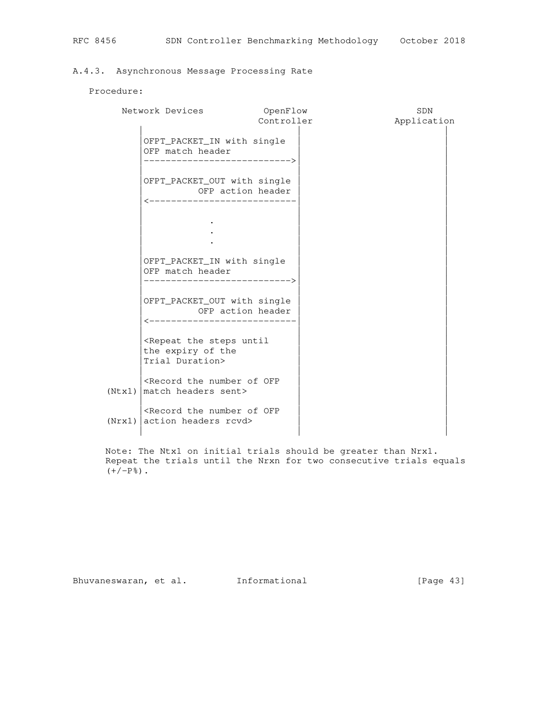# A.4.3. Asynchronous Message Processing Rate

# Procedure:

|        | Network Devices                                                                               | OpenFlow   | SDN         |
|--------|-----------------------------------------------------------------------------------------------|------------|-------------|
|        |                                                                                               | Controller | Application |
|        | OFPT_PACKET_IN with single<br>OFP match header<br>------------------------->                  |            |             |
|        | OFPT_PACKET_OUT with single<br>OFP action header<br>----------------------------              |            |             |
|        |                                                                                               |            |             |
|        | OFPT_PACKET_IN with single<br>OFP match header<br>______________________________              |            |             |
|        | OFPT_PACKET_OUT with single<br>OFP action header<br><----------------------------             |            |             |
|        | <repeat steps="" the="" until<br="">the expiry of the<br/>Trial Duration&gt;</repeat>         |            |             |
| (Ntx1) | <record number="" of="" ofp<br="" the="">match headers sent&gt;</record>                      |            |             |
|        | <record number="" of="" ofp<br="" the=""><math>(Nrx1)</math> action headers rcvd&gt;</record> |            |             |

 Note: The Ntx1 on initial trials should be greater than Nrx1. Repeat the trials until the Nrxn for two consecutive trials equals  $(+/-P<sup>o</sup>)$  .

Bhuvaneswaran, et al. Informational [Page 43]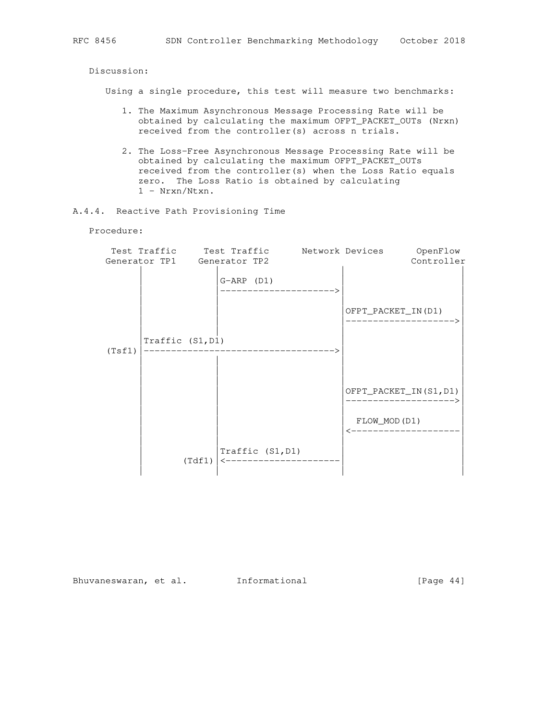Discussion:

Using a single procedure, this test will measure two benchmarks:

- 1. The Maximum Asynchronous Message Processing Rate will be obtained by calculating the maximum OFPT\_PACKET\_OUTs (Nrxn) received from the controller(s) across n trials.
- 2. The Loss-Free Asynchronous Message Processing Rate will be obtained by calculating the maximum OFPT\_PACKET\_OUTs received from the controller(s) when the Loss Ratio equals zero. The Loss Ratio is obtained by calculating 1 - Nrxn/Ntxn.
- A.4.4. Reactive Path Provisioning Time

Procedure:

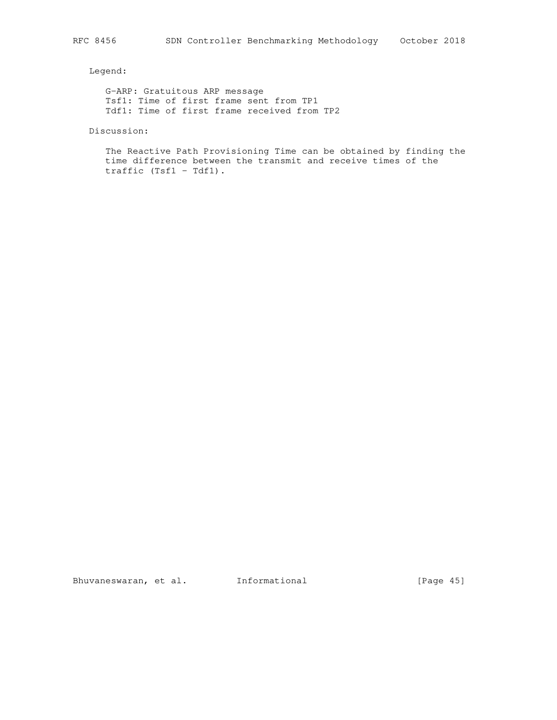Legend:

 G-ARP: Gratuitous ARP message Tsf1: Time of first frame sent from TP1 Tdf1: Time of first frame received from TP2

Discussion:

 The Reactive Path Provisioning Time can be obtained by finding the time difference between the transmit and receive times of the traffic (Tsf1 - Tdf1).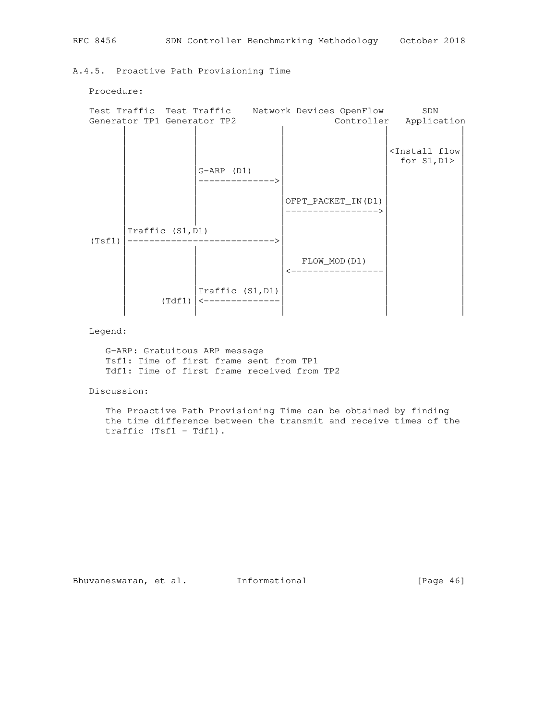A.4.5. Proactive Path Provisioning Time



Legend:

 G-ARP: Gratuitous ARP message Tsf1: Time of first frame sent from TP1 Tdf1: Time of first frame received from TP2

Discussion:

 The Proactive Path Provisioning Time can be obtained by finding the time difference between the transmit and receive times of the traffic (Tsf1 - Tdf1).

Procedure: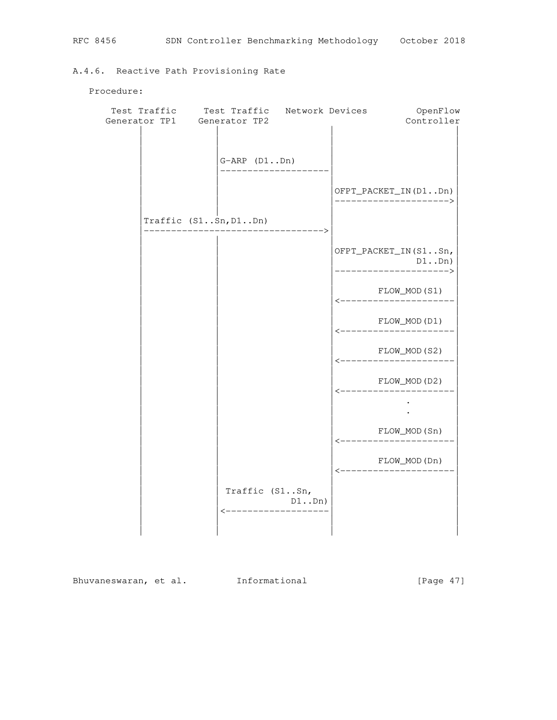# A.4.6. Reactive Path Provisioning Rate

Procedure:

| Test Traffic Test Traffic Network Devices<br>Generator TP1 Generator TP2 |                |                                | OpenFlow<br>Controller                        |
|--------------------------------------------------------------------------|----------------|--------------------------------|-----------------------------------------------|
|                                                                          | $G-ARP (D1Dn)$ |                                |                                               |
|                                                                          |                |                                | OFPT_PACKET_IN(D1Dn)<br>--------------------> |
| Traffic (S1Sn, D1Dn)                                                     |                |                                |                                               |
|                                                                          |                |                                | OFPT_PACKET_IN(S1Sn,<br>D1Dn)                 |
|                                                                          |                |                                | FLOW_MOD(S1)<br>_____________.                |
|                                                                          |                |                                | FLOW_MOD(D1)<br>_____________                 |
|                                                                          |                |                                | FLOW_MOD(S2)<br>_______________               |
|                                                                          |                |                                | FLOW_MOD(D2)                                  |
|                                                                          |                |                                |                                               |
|                                                                          |                |                                | FLOW_MOD(Sn)                                  |
|                                                                          |                |                                | FLOW_MOD(Dn)                                  |
|                                                                          | Traffic (S1Sn, | $D1.$ Dn)<br>----------------- |                                               |
|                                                                          |                |                                |                                               |

Bhuvaneswaran, et al. Informational [Page 47]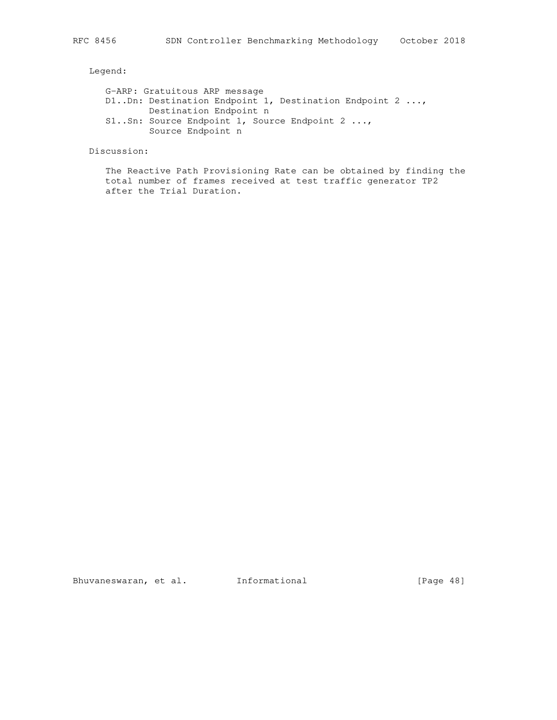Legend:

 G-ARP: Gratuitous ARP message D1..Dn: Destination Endpoint 1, Destination Endpoint 2 ..., Destination Endpoint n S1..Sn: Source Endpoint 1, Source Endpoint 2 ..., Source Endpoint n

Discussion:

 The Reactive Path Provisioning Rate can be obtained by finding the total number of frames received at test traffic generator TP2 after the Trial Duration.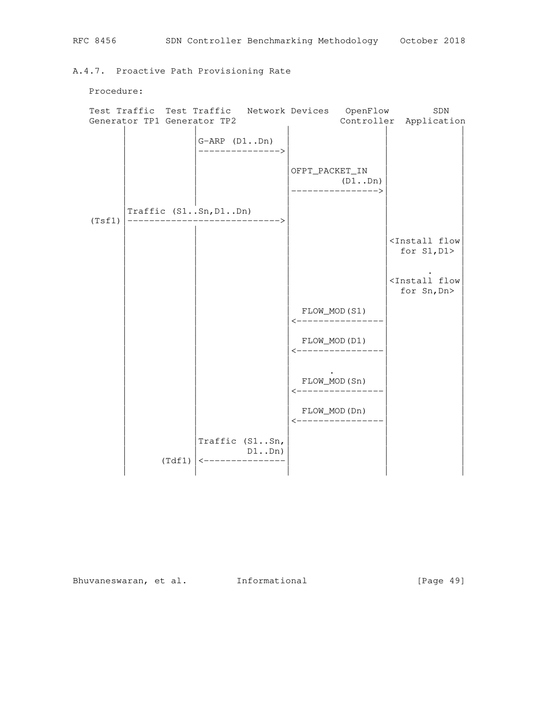A.4.7. Proactive Path Provisioning Rate

Procedure:

|        | Test Traffic Test Traffic   |                                               | Network Devices |                                 | OpenFlow                   | SDN                                                   |
|--------|-----------------------------|-----------------------------------------------|-----------------|---------------------------------|----------------------------|-------------------------------------------------------|
|        | Generator TP1 Generator TP2 |                                               |                 |                                 |                            | Controller Application                                |
|        |                             | $G-ARP (D1Dn)$<br>--------------->            |                 |                                 |                            |                                                       |
|        |                             |                                               |                 | OFPT_PACKET_IN                  | (D1Dn)<br>---------------> |                                                       |
| (Tsf1) | Traffic $(S1Sn, D1Dn)$      | ----------------------->                      |                 |                                 |                            |                                                       |
|        |                             |                                               |                 |                                 |                            | <install flow<br="">for <math>S1, D1</math></install> |
|        |                             |                                               |                 |                                 |                            | <install flow<br="">for Sn, Dn&gt;</install>          |
|        |                             |                                               |                 | FLOW_MOD(S1)                    | _____________              |                                                       |
|        |                             |                                               |                 | FLOW_MOD(D1)                    | _______________            |                                                       |
|        |                             |                                               |                 | FLOW_MOD(Sn)<br>--------------- |                            |                                                       |
|        |                             |                                               |                 | FLOW_MOD(Dn)                    | <----------------          |                                                       |
|        |                             | Traffic (S1Sn,<br>$\leftarrow$ -------------- | $D1$ $Dn)$      |                                 |                            |                                                       |
|        | (Tdf1)                      |                                               |                 |                                 |                            |                                                       |

Bhuvaneswaran, et al. Informational [Page 49]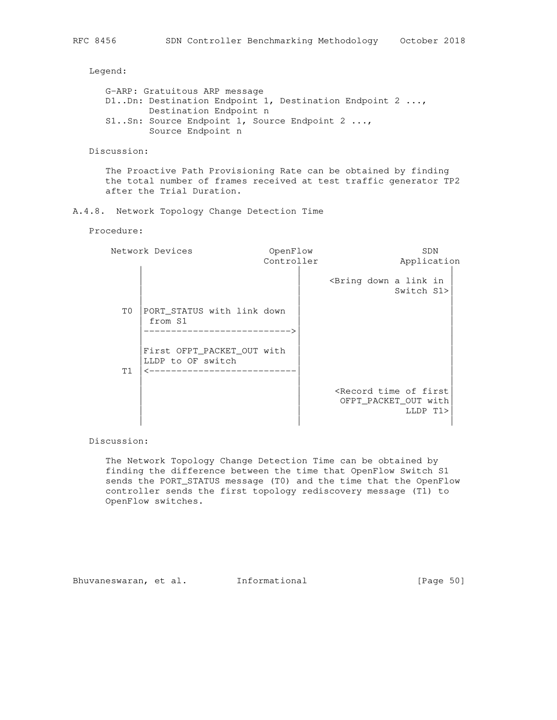Legend:

```
 G-ARP: Gratuitous ARP message
 D1..Dn: Destination Endpoint 1, Destination Endpoint 2 ...,
         Destination Endpoint n
 S1..Sn: Source Endpoint 1, Source Endpoint 2 ...,
         Source Endpoint n
```
Discussion:

 The Proactive Path Provisioning Rate can be obtained by finding the total number of frames received at test traffic generator TP2 after the Trial Duration.

A.4.8. Network Topology Change Detection Time

## Procedure:

|    | Network Devices                                                             |            | <b>SDN</b>                                                                      |
|----|-----------------------------------------------------------------------------|------------|---------------------------------------------------------------------------------|
|    |                                                                             | Controller | Application                                                                     |
|    |                                                                             |            | <bring a="" down="" in<br="" link="">Switch S1&gt;</bring>                      |
| T0 | PORT_STATUS with link down<br>from S1<br>------------------------>          |            |                                                                                 |
| T1 | First OFPT_PACKET_OUT with<br>LLDP to OF switch<br>________________________ |            |                                                                                 |
|    |                                                                             |            | <record first<br="" of="" time="">OFPT_PACKET_OUT with<br/>LLDP T1&gt;</record> |

Discussion:

 The Network Topology Change Detection Time can be obtained by finding the difference between the time that OpenFlow Switch S1 sends the PORT\_STATUS message (T0) and the time that the OpenFlow controller sends the first topology rediscovery message (T1) to OpenFlow switches.

Bhuvaneswaran, et al. Informational [Page 50]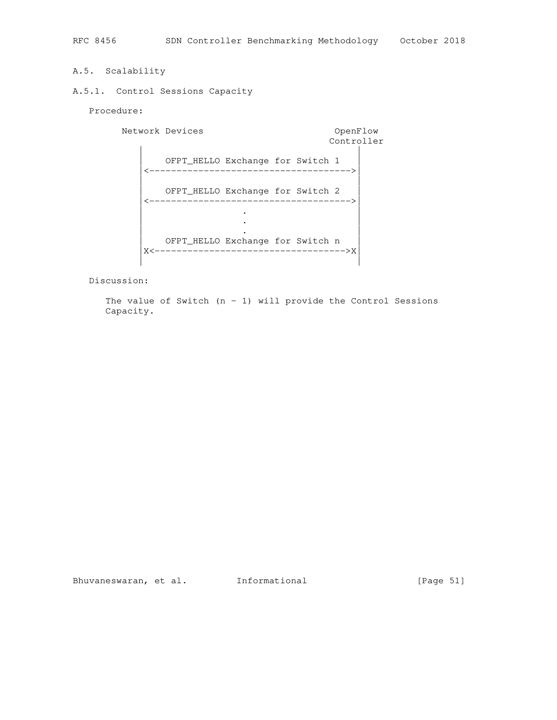# A.5. Scalability

## A.5.1. Control Sessions Capacity

Procedure:

Network Devices **OpenFlow**  Controller | | OFPT\_HELLO Exchange for Switch 1 |<------------------------------------->| | | OFPT\_HELLO Exchange for Switch 2 |<------------------------------------->| | . | | . | | . | OFPT\_HELLO Exchange for Switch n |X<----------------------------------->X| | |

Discussion:

The value of Switch  $(n - 1)$  will provide the Control Sessions Capacity.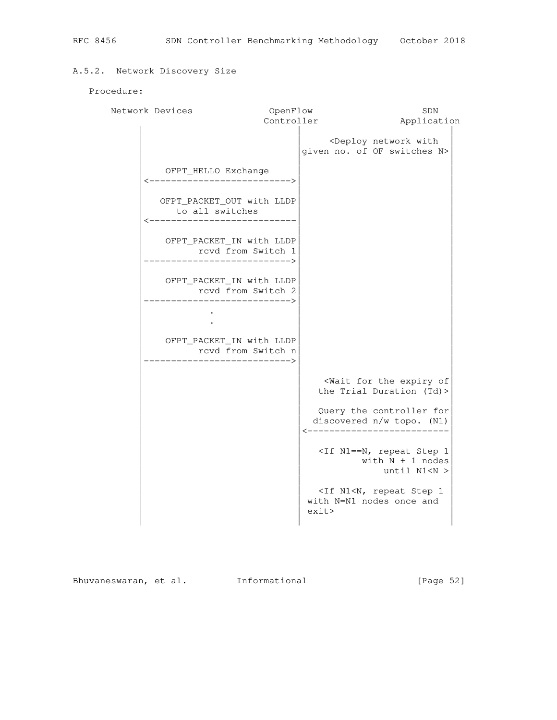# A.5.2. Network Discovery Size

# Procedure:

| Network Devices                                                           | OpenFlow   |       |                                                                                                                             |  | SDN                                    |  |
|---------------------------------------------------------------------------|------------|-------|-----------------------------------------------------------------------------------------------------------------------------|--|----------------------------------------|--|
|                                                                           | Controller |       |                                                                                                                             |  | Application                            |  |
|                                                                           |            |       | <deploy network="" with<br="">given no. of OF switches N&gt;</deploy>                                                       |  |                                        |  |
| OFPT_HELLO Exchange<br>------------------------->                         |            |       |                                                                                                                             |  |                                        |  |
| OFPT_PACKET_OUT with LLDP<br>to all switches<br>------------------------  |            |       |                                                                                                                             |  |                                        |  |
| OFPT_PACKET_IN with LLDP<br>rcvd from Switch 1<br>-------------------->   |            |       |                                                                                                                             |  |                                        |  |
| OFPT_PACKET_IN with LLDP<br>rcvd from Switch 2<br>----------------------> |            |       |                                                                                                                             |  |                                        |  |
| OFPT_PACKET_IN with LLDP<br>rcvd from Switch n<br>----------------------> |            |       |                                                                                                                             |  |                                        |  |
|                                                                           |            |       | <wait expiry="" for="" of<br="" the="">the Trial Duration (Td)&gt;</wait>                                                   |  |                                        |  |
|                                                                           |            |       | Query the controller for<br>discovered n/w topo. (N1)                                                                       |  | -----------------------                |  |
|                                                                           |            |       | <if 1<="" n1="N," repeat="" step="" td=""><td></td><td>with <math>N + 1</math> nodes<br/>until N1<n></n></td><td></td></if> |  | with $N + 1$ nodes<br>until N1 <n></n> |  |
|                                                                           |            | exit> | <if 1<br="" n1<n,="" repeat="" step="">with N=N1 nodes once and</if>                                                        |  |                                        |  |

Bhuvaneswaran, et al. Informational [Page 52]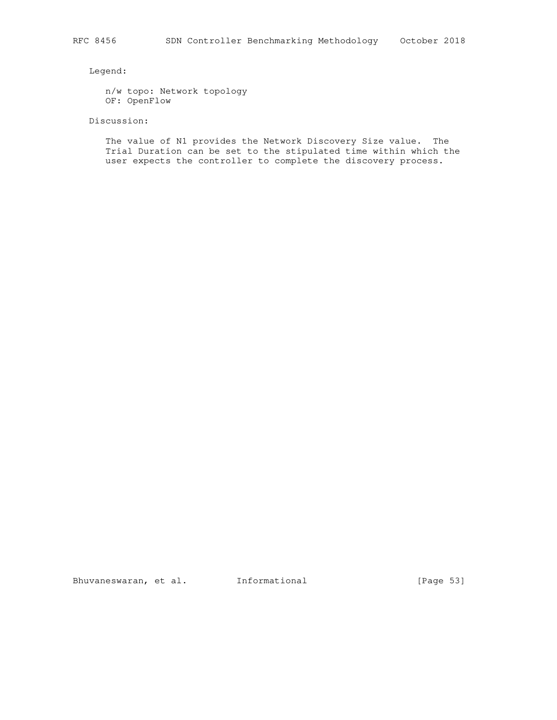Legend:

 n/w topo: Network topology OF: OpenFlow

Discussion:

 The value of N1 provides the Network Discovery Size value. The Trial Duration can be set to the stipulated time within which the user expects the controller to complete the discovery process.

Bhuvaneswaran, et al. 1nformational 1999 [Page 53]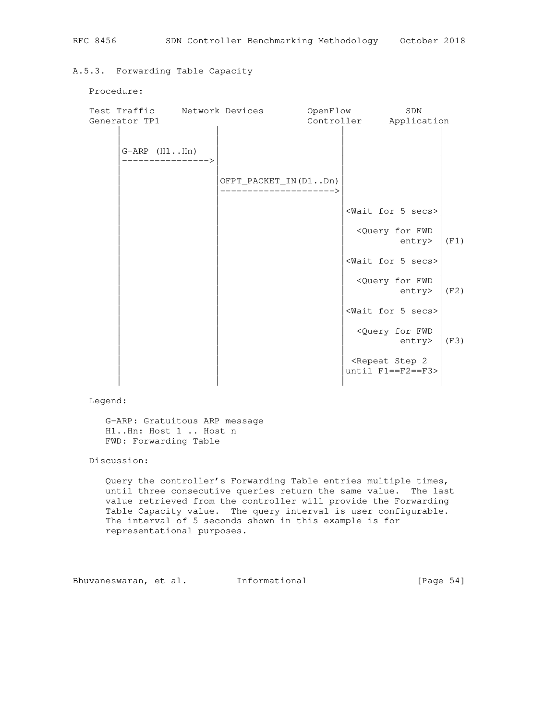## A.5.3. Forwarding Table Capacity

#### Procedure:

|                 |  | Test Traffic Metwork Devices               | OpenFlow |                                                                                          | SDN                                       |          |
|-----------------|--|--------------------------------------------|----------|------------------------------------------------------------------------------------------|-------------------------------------------|----------|
| Generator TP1   |  |                                            |          |                                                                                          | Controller Application                    |          |
|                 |  |                                            |          |                                                                                          |                                           |          |
| $G-ARP (H1.Hn)$ |  |                                            |          |                                                                                          |                                           |          |
|                 |  |                                            |          |                                                                                          |                                           |          |
|                 |  | OFPT_PACKET_IN(D1Dn)<br>__________________ |          |                                                                                          |                                           |          |
|                 |  |                                            |          |                                                                                          |                                           |          |
|                 |  |                                            |          |                                                                                          | <wait 5="" for="" secs=""></wait>         |          |
|                 |  |                                            |          |                                                                                          | <query for="" fwd<br="">entry&gt;</query> | (F1)     |
|                 |  |                                            |          |                                                                                          | <wait 5="" for="" secs=""></wait>         |          |
|                 |  |                                            |          |                                                                                          | <query for="" fwd<br="">entry&gt;</query> | (F2)     |
|                 |  |                                            |          |                                                                                          | <wait 5="" for="" secs=""></wait>         |          |
|                 |  |                                            |          |                                                                                          | <query for="" fwd<br="">entry</query>     | $ $ (F3) |
|                 |  |                                            |          | <repeat 2<="" step="" td=""><td>until <math>F1 == F2 == F3</math></td><td></td></repeat> | until $F1 == F2 == F3$                    |          |
|                 |  |                                            |          |                                                                                          |                                           |          |

Legend:

 G-ARP: Gratuitous ARP message H1..Hn: Host 1 .. Host n FWD: Forwarding Table

Discussion:

 Query the controller's Forwarding Table entries multiple times, until three consecutive queries return the same value. The last value retrieved from the controller will provide the Forwarding Table Capacity value. The query interval is user configurable. The interval of 5 seconds shown in this example is for representational purposes.

Bhuvaneswaran, et al. 1nformational 1999 [Page 54]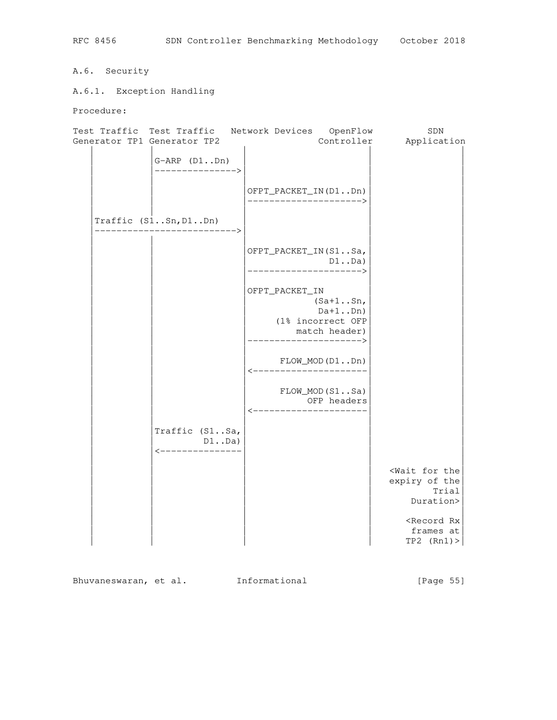# A.6. Security

A.6.1. Exception Handling

Procedure:

| Test Traffic Test Traffic Network Devices<br>Generator TP1 Generator TP2 | OpenFlow<br>Controller                                                                                | SDN<br>Application                                                     |
|--------------------------------------------------------------------------|-------------------------------------------------------------------------------------------------------|------------------------------------------------------------------------|
| $G-ARP (D1Dn)$<br>--------------->                                       |                                                                                                       |                                                                        |
|                                                                          | OFPT_PACKET_IN(D1Dn)<br>--------------------->                                                        |                                                                        |
| Traffic $(S1Sn, D1Dn)$<br>------------------>                            |                                                                                                       |                                                                        |
|                                                                          | OFPT_PACKET_IN(S1Sa,<br>$D1.$ . $Da)$<br>---------------------->                                      |                                                                        |
|                                                                          | OFPT_PACKET_IN<br>$(Sa+1Sn,$<br>$Da+1$ Dn)<br>(1% incorrect OFP<br>match header)<br>----------------> |                                                                        |
|                                                                          | $FLOW_MOD(D1Dn)$                                                                                      |                                                                        |
|                                                                          | FLOW_MOD(S1Sa)<br>OFP headers<br><----------------------                                              |                                                                        |
| Traffic (S1Sa,<br>$D1.$ Da)<br><u> &lt;---------------</u>               |                                                                                                       |                                                                        |
|                                                                          |                                                                                                       | <wait for="" the<br="">expiry of the<br/>Trial<br/>Duration&gt;</wait> |
|                                                                          |                                                                                                       | <record rx<br="">frames at<br/><math>TP2</math> (Rn1) &gt;</record>    |

Bhuvaneswaran, et al. 1nformational 1999 [Page 55]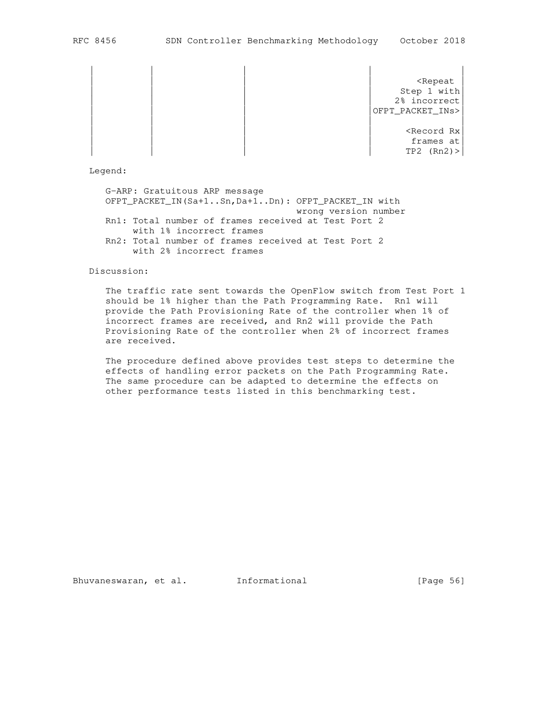| | | | | | | | | <Repeat | Step 1 with 2% incorrect OFPT\_PACKET\_INs> | | | | |  $<$ Record Rx $|$ 

frames at  $TP2$  (Rn2) >

Legend:

 G-ARP: Gratuitous ARP message OFPT\_PACKET\_IN(Sa+1..Sn,Da+1..Dn): OFPT\_PACKET\_IN with wrong version number Rn1: Total number of frames received at Test Port 2 with 1% incorrect frames Rn2: Total number of frames received at Test Port 2 with 2% incorrect frames

#### Discussion:

 The traffic rate sent towards the OpenFlow switch from Test Port 1 should be 1% higher than the Path Programming Rate. Rn1 will provide the Path Provisioning Rate of the controller when 1% of incorrect frames are received, and Rn2 will provide the Path Provisioning Rate of the controller when 2% of incorrect frames are received.

 The procedure defined above provides test steps to determine the effects of handling error packets on the Path Programming Rate. The same procedure can be adapted to determine the effects on other performance tests listed in this benchmarking test.

Bhuvaneswaran, et al. Informational [Page 56]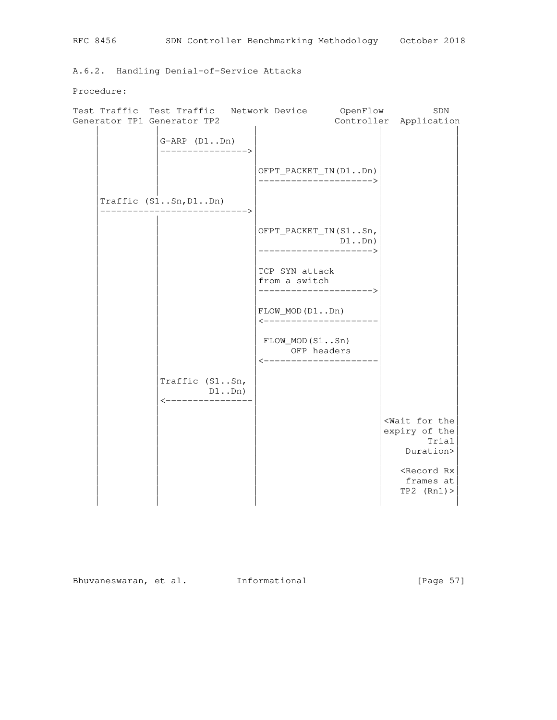A.6.2. Handling Denial-of-Service Attacks

Procedure:

|  | Test Traffic Test Traffic                     | Network Device |                                                            | OpenFlow | SDN                                                                    |
|--|-----------------------------------------------|----------------|------------------------------------------------------------|----------|------------------------------------------------------------------------|
|  | Generator TP1 Generator TP2                   |                |                                                            |          | Controller Application                                                 |
|  | $G-ARP (D1Dn)$<br>---------------->           |                | OFPT_PACKET_IN(D1Dn)                                       |          |                                                                        |
|  |                                               |                | _______________________                                    |          |                                                                        |
|  | Traffic $(S1Sn, D1Dn)$<br>---------------->   |                |                                                            |          |                                                                        |
|  |                                               |                | OFPT_PACKET_IN(S1Sn,<br>D1Dn)<br><------------------>      |          |                                                                        |
|  |                                               |                | TCP SYN attack<br>from a switch<br>----------------------> |          |                                                                        |
|  |                                               |                | $FLOW_MOD(D1Dn)$<br><----------------------                |          |                                                                        |
|  |                                               |                | $FLOW_MOD(S1Sn)$<br>OFP headers<br><---------------------- |          |                                                                        |
|  | Traffic (S1Sn,<br>D1Dn)<br>-----------------> | $DI$ Dn)       |                                                            |          |                                                                        |
|  |                                               |                |                                                            |          | <wait for="" the<br="">expiry of the<br/>Trial<br/>Duration&gt;</wait> |
|  |                                               |                |                                                            |          | <record rx<br="">frames at<br/>TP2 (Rn1)</record>                      |

Bhuvaneswaran, et al. Informational [Page 57]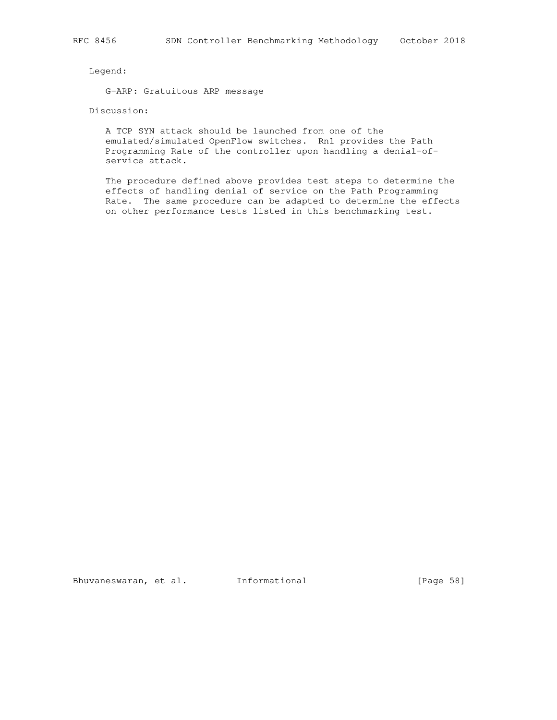## Legend:

G-ARP: Gratuitous ARP message

# Discussion:

 A TCP SYN attack should be launched from one of the emulated/simulated OpenFlow switches. Rn1 provides the Path Programming Rate of the controller upon handling a denial-of service attack.

 The procedure defined above provides test steps to determine the effects of handling denial of service on the Path Programming Rate. The same procedure can be adapted to determine the effects on other performance tests listed in this benchmarking test.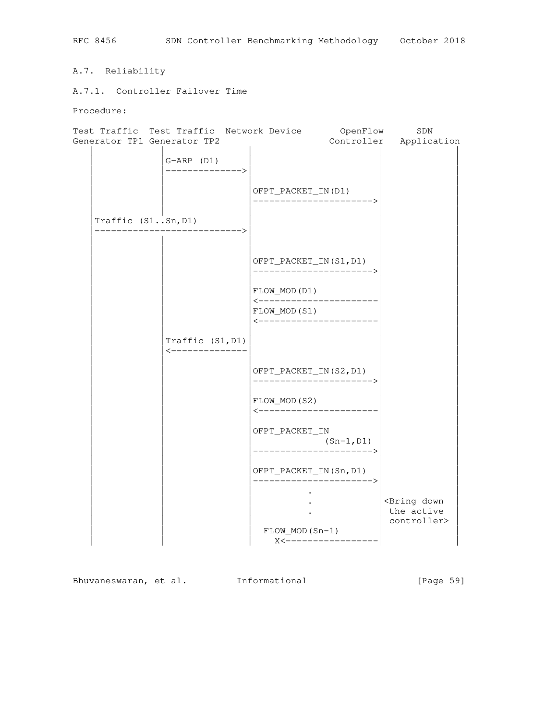A.7. Reliability

A.7.1. Controller Failover Time

Procedure:



Bhuvaneswaran, et al. 1nformational 1999 [Page 59]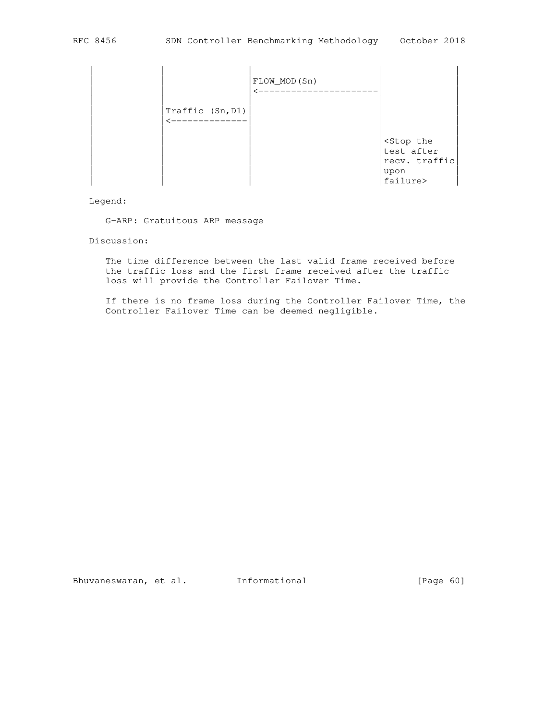

Legend:

G-ARP: Gratuitous ARP message

#### Discussion:

 The time difference between the last valid frame received before the traffic loss and the first frame received after the traffic loss will provide the Controller Failover Time.

 If there is no frame loss during the Controller Failover Time, the Controller Failover Time can be deemed negligible.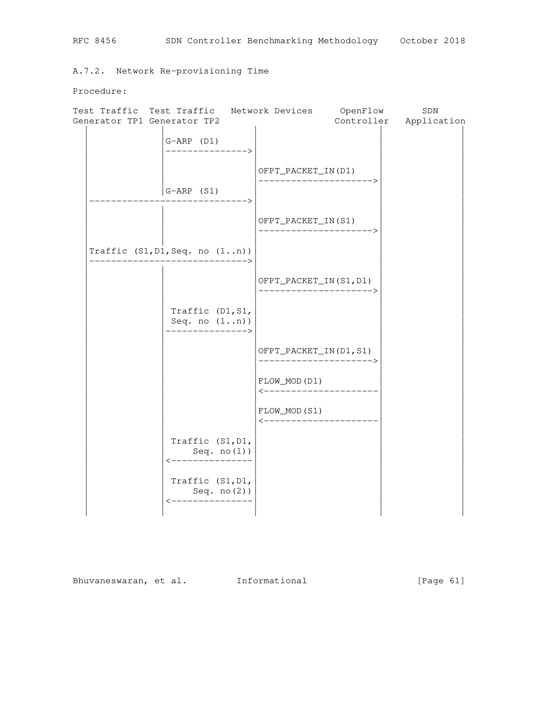A.7.2. Network Re-provisioning Time

Procedure:

| Test Traffic Test Traffic        |                                                                  | Network Devices OpenFlow                           | SDN                    |
|----------------------------------|------------------------------------------------------------------|----------------------------------------------------|------------------------|
| Generator TP1 Generator TP2      |                                                                  |                                                    | Controller Application |
|                                  | $G-ARP (D1)$<br>--------------->                                 |                                                    |                        |
|                                  |                                                                  | OFPT_PACKET_IN(D1)<br>_______________________      |                        |
|                                  | $ G-ARP (S1)$<br>-------------------->                           |                                                    |                        |
|                                  |                                                                  | OFPT_PACKET_IN(S1)<br>--------------------->       |                        |
| Traffic $(S1, D1, Seq. no (1n))$ | -------------------------->                                      |                                                    |                        |
|                                  |                                                                  | OFPT_PACKET_IN(S1, D1)<br>-----------------------> |                        |
|                                  | Traffic (D1, S1,<br>Seq. no $(1n)$ )<br>--------------->         |                                                    |                        |
|                                  |                                                                  | OFPT_PACKET_IN(D1, S1)<br>_______________________  |                        |
|                                  |                                                                  | FLOW_MOD(D1)<br><----------------------            |                        |
|                                  |                                                                  | FLOW_MOD(S1)<br><----------------------            |                        |
|                                  | Traffic (S1, D1,<br>Seq. $no(1)$ )<br>----------------           |                                                    |                        |
|                                  | Traffic (S1, D1,<br>Seq. no(2))<br>$\leftarrow$ ---------------- |                                                    |                        |
|                                  |                                                                  |                                                    |                        |

Bhuvaneswaran, et al. Informational [Page 61]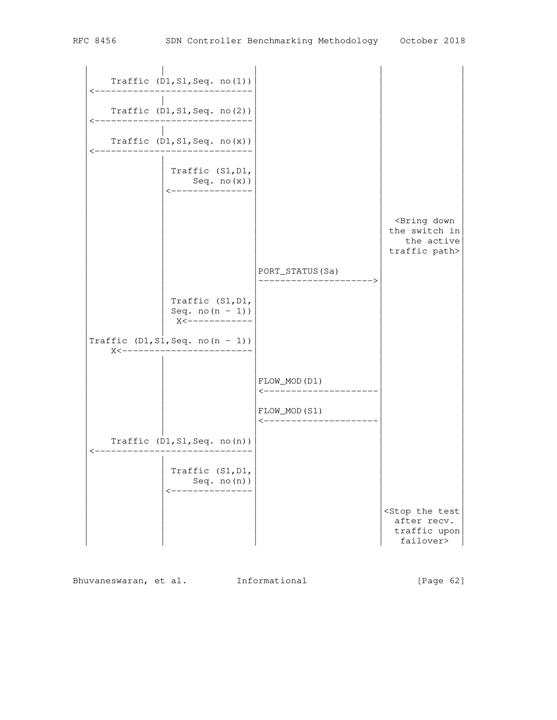| Traffic $(D1, S1, Seq. no(1))$                                       |                                        |                                                                              |
|----------------------------------------------------------------------|----------------------------------------|------------------------------------------------------------------------------|
| Traffic $(D1, S1, Seq. no(2))$                                       |                                        |                                                                              |
|                                                                      |                                        |                                                                              |
| Traffic $(D1, S1, Seq. no(x))$                                       |                                        |                                                                              |
| Traffic (S1, D1,<br>Seq. no(x))<br>---------------                   |                                        |                                                                              |
|                                                                      |                                        | <bring down<br="">the switch in<br/>the active<br/>traffic path&gt;</bring>  |
|                                                                      | PORT_STATUS (Sa)                       |                                                                              |
| Traffic (S1, D1,<br>Seq. $no(n - 1)$ )<br>X<------------             |                                        |                                                                              |
| Traffic $(D1, S1, Seq. no(n - 1))$<br>$X$ $\lt$ $\sim$ $\sim$ $\sim$ |                                        |                                                                              |
|                                                                      | FLOW_MOD(D1)<br><--------------------- |                                                                              |
|                                                                      | FLOW_MOD(S1)<br><--------------------- |                                                                              |
| Traffic $(D1, S1, Seq. no(n))$                                       |                                        |                                                                              |
| Traffic (S1, D1,<br>Seq. $no(n)$ )<br><----                          |                                        |                                                                              |
|                                                                      |                                        | <stop test<br="" the="">after recv.<br/>traffic upon<br/>failover&gt;</stop> |

Bhuvaneswaran, et al. 1nformational 1999 [Page 62]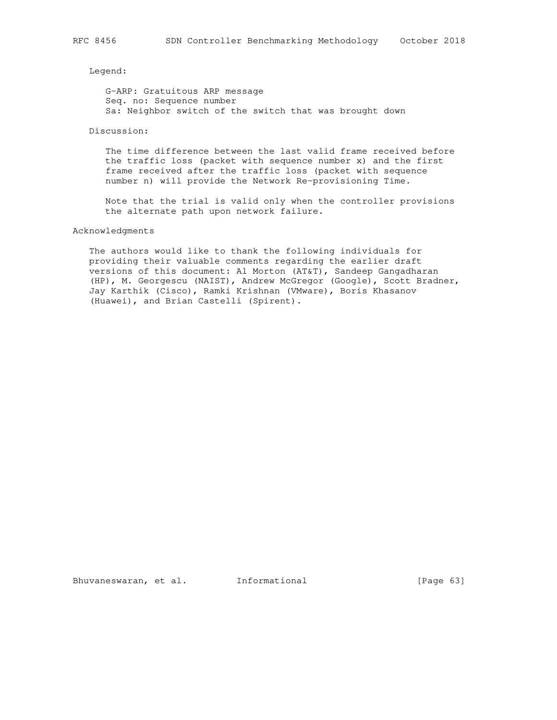Legend:

 G-ARP: Gratuitous ARP message Seq. no: Sequence number Sa: Neighbor switch of the switch that was brought down

## Discussion:

 The time difference between the last valid frame received before the traffic loss (packet with sequence number x) and the first frame received after the traffic loss (packet with sequence number n) will provide the Network Re-provisioning Time.

 Note that the trial is valid only when the controller provisions the alternate path upon network failure.

## Acknowledgments

 The authors would like to thank the following individuals for providing their valuable comments regarding the earlier draft versions of this document: Al Morton (AT&T), Sandeep Gangadharan (HP), M. Georgescu (NAIST), Andrew McGregor (Google), Scott Bradner, Jay Karthik (Cisco), Ramki Krishnan (VMware), Boris Khasanov (Huawei), and Brian Castelli (Spirent).